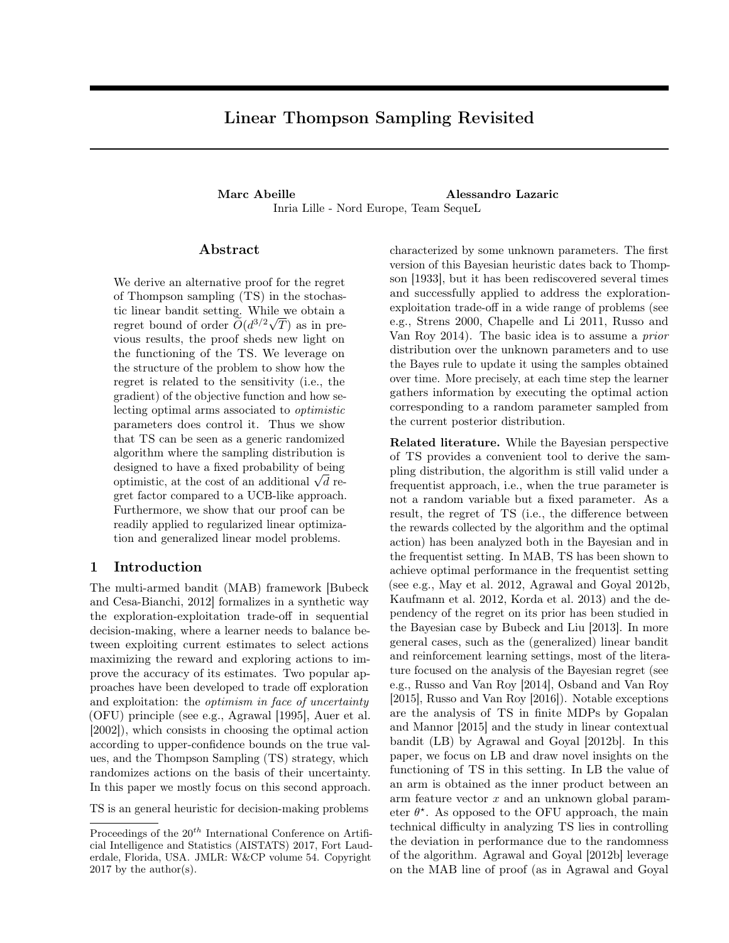# Linear Thompson Sampling Revisited

#### Marc Abeille **Alessandro Lazaric** Inria Lille - Nord Europe, Team SequeL

#### Abstract

We derive an alternative proof for the regret of Thompson sampling (TS) in the stochastic linear bandit setting. While we obtain a regret bound of order  $\tilde{O}(d^{3/2}\sqrt{T})$  as in previous results, the proof sheds new light on the functioning of the TS. We leverage on the structure of the problem to show how the regret is related to the sensitivity (i.e., the gradient) of the objective function and how selecting optimal arms associated to optimistic parameters does control it. Thus we show that TS can be seen as a generic randomized algorithm where the sampling distribution is designed to have a fixed probability of being optimistic, at the cost of an additional  $\sqrt{d}$  regret factor compared to a UCB-like approach. Furthermore, we show that our proof can be readily applied to regularized linear optimization and generalized linear model problems.

# 1 Introduction

The multi-armed bandit (MAB) framework [Bubeck and Cesa-Bianchi, 2012] formalizes in a synthetic way the exploration-exploitation trade-off in sequential decision-making, where a learner needs to balance between exploiting current estimates to select actions maximizing the reward and exploring actions to improve the accuracy of its estimates. Two popular approaches have been developed to trade off exploration and exploitation: the optimism in face of uncertainty (OFU) principle (see e.g., Agrawal [1995], Auer et al. [2002]), which consists in choosing the optimal action according to upper-confidence bounds on the true values, and the Thompson Sampling (TS) strategy, which randomizes actions on the basis of their uncertainty. In this paper we mostly focus on this second approach.

TS is an general heuristic for decision-making problems

characterized by some unknown parameters. The first version of this Bayesian heuristic dates back to Thompson [1933], but it has been rediscovered several times and successfully applied to address the explorationexploitation trade-off in a wide range of problems (see e.g., Strens 2000, Chapelle and Li 2011, Russo and Van Roy 2014). The basic idea is to assume a prior distribution over the unknown parameters and to use the Bayes rule to update it using the samples obtained over time. More precisely, at each time step the learner gathers information by executing the optimal action corresponding to a random parameter sampled from the current posterior distribution.

Related literature. While the Bayesian perspective of TS provides a convenient tool to derive the sampling distribution, the algorithm is still valid under a frequentist approach, i.e., when the true parameter is not a random variable but a fixed parameter. As a result, the regret of TS (i.e., the difference between the rewards collected by the algorithm and the optimal action) has been analyzed both in the Bayesian and in the frequentist setting. In MAB, TS has been shown to achieve optimal performance in the frequentist setting (see e.g., May et al. 2012, Agrawal and Goyal 2012b, Kaufmann et al. 2012, Korda et al. 2013) and the dependency of the regret on its prior has been studied in the Bayesian case by Bubeck and Liu [2013]. In more general cases, such as the (generalized) linear bandit and reinforcement learning settings, most of the literature focused on the analysis of the Bayesian regret (see e.g., Russo and Van Roy [2014], Osband and Van Roy [2015], Russo and Van Roy [2016]). Notable exceptions are the analysis of TS in finite MDPs by Gopalan and Mannor [2015] and the study in linear contextual bandit (LB) by Agrawal and Goyal [2012b]. In this paper, we focus on LB and draw novel insights on the functioning of TS in this setting. In LB the value of an arm is obtained as the inner product between an arm feature vector  $x$  and an unknown global parameter  $\theta^*$ . As opposed to the OFU approach, the main technical difficulty in analyzing TS lies in controlling the deviation in performance due to the randomness of the algorithm. Agrawal and Goyal [2012b] leverage on the MAB line of proof (as in Agrawal and Goyal

Proceedings of the  $20^{th}$  International Conference on Artificial Intelligence and Statistics (AISTATS) 2017, Fort Lauderdale, Florida, USA. JMLR: W&CP volume 54. Copyright  $2017$  by the author(s).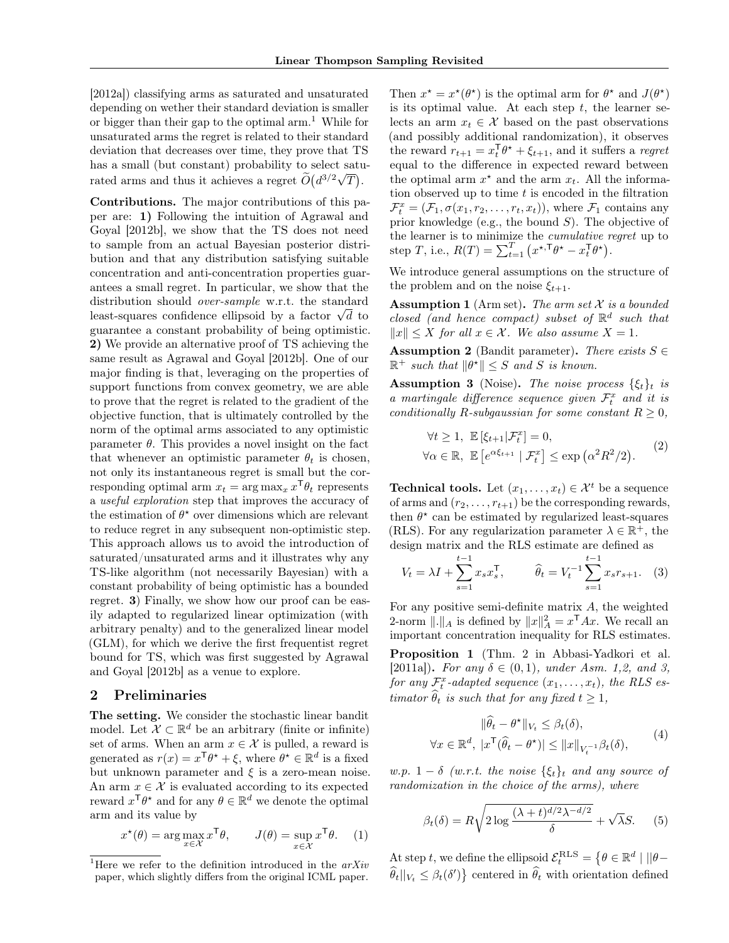[2012a]) classifying arms as saturated and unsaturated depending on wether their standard deviation is smaller or bigger than their gap to the optimal  $arm<sup>1</sup>$ . While for unsaturated arms the regret is related to their standard deviation that decreases over time, they prove that TS has a small (but constant) probability to select saturated arms and thus it achieves a regret  $\widetilde{O}(d^{3/2}\sqrt{T})$ .

Contributions. The major contributions of this paper are: 1) Following the intuition of Agrawal and Goyal [2012b], we show that the TS does not need to sample from an actual Bayesian posterior distribution and that any distribution satisfying suitable concentration and anti-concentration properties guarantees a small regret. In particular, we show that the distribution should over-sample w.r.t. the standard determined to the standard determined the standard least-squares confidence ellipsoid by a factor  $\sqrt{d}$  to guarantee a constant probability of being optimistic. 2) We provide an alternative proof of TS achieving the same result as Agrawal and Goyal [2012b]. One of our major finding is that, leveraging on the properties of support functions from convex geometry, we are able to prove that the regret is related to the gradient of the objective function, that is ultimately controlled by the norm of the optimal arms associated to any optimistic parameter  $\theta$ . This provides a novel insight on the fact that whenever an optimistic parameter  $\theta_t$  is chosen, not only its instantaneous regret is small but the corresponding optimal arm  $x_t = \arg \max_x x^{\mathsf{T}} \theta_t$  represents a useful exploration step that improves the accuracy of the estimation of  $\theta^*$  over dimensions which are relevant to reduce regret in any subsequent non-optimistic step. This approach allows us to avoid the introduction of saturated/unsaturated arms and it illustrates why any TS-like algorithm (not necessarily Bayesian) with a constant probability of being optimistic has a bounded regret. 3) Finally, we show how our proof can be easily adapted to regularized linear optimization (with arbitrary penalty) and to the generalized linear model (GLM), for which we derive the first frequentist regret bound for TS, which was first suggested by Agrawal and Goyal [2012b] as a venue to explore.

#### 2 Preliminaries

The setting. We consider the stochastic linear bandit model. Let  $\mathcal{X} \subset \mathbb{R}^d$  be an arbitrary (finite or infinite) set of arms. When an arm  $x \in \mathcal{X}$  is pulled, a reward is generated as  $r(x) = x^{\mathsf{T}} \theta^* + \xi$ , where  $\theta^* \in \mathbb{R}^d$  is a fixed but unknown parameter and  $\xi$  is a zero-mean noise. An arm  $x \in \mathcal{X}$  is evaluated according to its expected reward  $x^{\mathsf{T}} \theta^*$  and for any  $\theta \in \mathbb{R}^d$  we denote the optimal arm and its value by

$$
x^{\star}(\theta) = \arg \max_{x \in \mathcal{X}} x^{\mathsf{T}} \theta, \qquad J(\theta) = \sup_{x \in \mathcal{X}} x^{\mathsf{T}} \theta. \tag{1}
$$

Then  $x^* = x^*(\theta^*)$  is the optimal arm for  $\theta^*$  and  $J(\theta^*)$ is its optimal value. At each step  $t$ , the learner selects an arm  $x_t \in \mathcal{X}$  based on the past observations (and possibly additional randomization), it observes the reward  $r_{t+1} = x_t^{\mathsf{T}} \theta^* + \xi_{t+1}$ , and it suffers a *regret* equal to the difference in expected reward between the optimal arm  $x^*$  and the arm  $x_t$ . All the information observed up to time  $t$  is encoded in the filtration  $\mathcal{F}_t^x = (\mathcal{F}_1, \sigma(x_1, r_2, \dots, r_t, x_t)),$  where  $\mathcal{F}_1$  contains any prior knowledge (e.g., the bound  $S$ ). The objective of the learner is to minimize the cumulative regret up to step T, i.e.,  $R(T) = \sum_{t=1}^{T} (x^{\star,T} \theta^{\star} - x_t^{\mathsf{T}} \theta^{\star}).$ 

We introduce general assumptions on the structure of the problem and on the noise  $\xi_{t+1}$ .

**Assumption 1** (Arm set). The arm set  $X$  is a bounded closed (and hence compact) subset of  $\mathbb{R}^d$  such that  $||x|| \leq X$  for all  $x \in \mathcal{X}$ . We also assume  $X = 1$ .

**Assumption 2** (Bandit parameter). There exists  $S \in$  $\mathbb{R}^+$  such that  $\|\theta^{\star}\| \leq S$  and S is known.

**Assumption 3** (Noise). The noise process  $\{\xi_t\}_t$  is a martingale difference sequence given  $\mathcal{F}_t^x$  and it is conditionally R-subgaussian for some constant  $R \geq 0$ ,

$$
\forall t \ge 1, \ \mathbb{E}\left[\xi_{t+1}|\mathcal{F}_t^x\right] = 0,
$$
  

$$
\forall \alpha \in \mathbb{R}, \ \mathbb{E}\left[e^{\alpha \xi_{t+1}} | \mathcal{F}_t^x\right] \le \exp\left(\alpha^2 R^2/2\right).
$$
 (2)

**Technical tools.** Let  $(x_1, \ldots, x_t) \in \mathcal{X}^t$  be a sequence of arms and  $(r_2, \ldots, r_{t+1})$  be the corresponding rewards, then  $\theta^*$  can be estimated by regularized least-squares (RLS). For any regularization parameter  $\lambda \in \mathbb{R}^+$  , the design matrix and the RLS estimate are defined as

$$
V_t = \lambda I + \sum_{s=1}^{t-1} x_s x_s^{\mathsf{T}}, \qquad \widehat{\theta}_t = V_t^{-1} \sum_{s=1}^{t-1} x_s r_{s+1}.
$$
 (3)

For any positive semi-definite matrix  $A$ , the weighted 2-norm  $\Vert . \Vert_A$  is defined by  $\Vert x \Vert_A^2 = x^{\mathsf{T}} A x$ . We recall an important concentration inequality for RLS estimates. Proposition 1 (Thm. 2 in Abbasi-Yadkori et al. [2011a]). For any  $\delta \in (0,1)$ , under Asm. 1,2, and 3, for any  $\mathcal{F}^x_t$ -adapted sequence  $(x_1, \ldots, x_t)$ , the RLS es-

timator  $\hat{\theta}_t$  is such that for any fixed  $t \geq 1$ ,

$$
\|\widehat{\theta}_t - \theta^{\star}\|_{V_t} \leq \beta_t(\delta),
$$
  

$$
\forall x \in \mathbb{R}^d, \ |x^{\mathsf{T}}(\widehat{\theta}_t - \theta^{\star})| \leq ||x||_{V_t^{-1}} \beta_t(\delta), \tag{4}
$$

w.p. 1 –  $\delta$  (w.r.t. the noise  $\{\xi_t\}_t$  and any source of randomization in the choice of the arms), where

$$
\beta_t(\delta) = R \sqrt{2 \log \frac{(\lambda + t)^{d/2} \lambda^{-d/2}}{\delta}} + \sqrt{\lambda} S. \tag{5}
$$

At step t, we define the ellipsoid  $\mathcal{E}_t^{\text{RLS}} = \{ \theta \in \mathbb{R}^d \mid ||\theta \widehat{\theta}_t||_{V_t} \leq \beta_t(\delta')\}$  centered in  $\widehat{\theta}_t$  with orientation defined

<sup>&</sup>lt;sup>1</sup>Here we refer to the definition introduced in the  $arXiv$ paper, which slightly differs from the original ICML paper.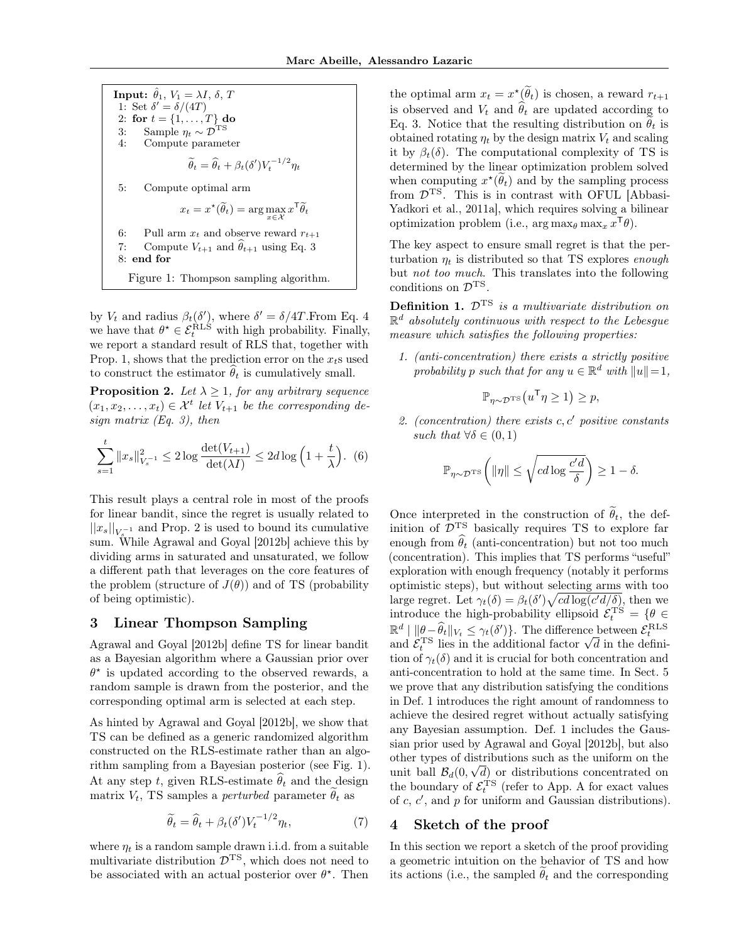**Input:**  $\hat{\theta}_1$ ,  $V_1 = \lambda I$ ,  $\delta$ , T 1: Set  $\delta' = \delta/(4T)$ 2: for  $t = \{1, ..., T\}$  do 3: Sample  $\eta_t \sim \mathcal{D}^{\text{TS}}$ 4: Compute parameter  $\widetilde{\theta}_t = \widehat{\theta}_t + \beta_t(\delta')V_t^{-1/2}\eta_t$ 5: Compute optimal arm  $x_t = x^{\star}(\widetilde{\theta}_t) = \arg\max_{x \in \mathcal{X}} x^{\mathsf{T}} \widetilde{\theta}_t$ 6: Pull arm  $x_t$  and observe reward  $r_{t+1}$ 7: Compute  $V_{t+1}$  and  $\hat{\theta}_{t+1}$  using Eq. 3 8: end for

Figure 1: Thompson sampling algorithm.

by  $V_t$  and radius  $\beta_t(\delta')$ , where  $\delta' = \delta/4T$ . From Eq. 4 we have that  $\theta^* \in \mathcal{E}_t^{\text{RLS}}$  with high probability. Finally, we report a standard result of RLS that, together with Prop. 1, shows that the prediction error on the  $x<sub>t</sub>$ s used to construct the estimator  $\hat{\theta}_t$  is cumulatively small.

**Proposition 2.** Let  $\lambda \geq 1$ , for any arbitrary sequence  $(x_1, x_2, \ldots, x_t) \in \mathcal{X}^t$  let  $V_{t+1}$  be the corresponding design matrix  $(Eq. 3)$ , then

$$
\sum_{s=1}^{t} \|x_{s}\|_{V_{s}^{-1}}^{2} \le 2\log \frac{\det(V_{t+1})}{\det(\lambda I)} \le 2d\log\left(1+\frac{t}{\lambda}\right). (6)
$$

This result plays a central role in most of the proofs for linear bandit, since the regret is usually related to  $||x_s||_{V_s^{-1}}$  and Prop. 2 is used to bound its cumulative sum. While Agrawal and Goyal [2012b] achieve this by dividing arms in saturated and unsaturated, we follow a different path that leverages on the core features of the problem (structure of  $J(\theta)$ ) and of TS (probability of being optimistic).

# 3 Linear Thompson Sampling

Agrawal and Goyal [2012b] define TS for linear bandit as a Bayesian algorithm where a Gaussian prior over  $\theta^*$  is updated according to the observed rewards, a random sample is drawn from the posterior, and the corresponding optimal arm is selected at each step.

As hinted by Agrawal and Goyal [2012b], we show that TS can be defined as a generic randomized algorithm constructed on the RLS-estimate rather than an algorithm sampling from a Bayesian posterior (see Fig. 1). At any step t, given RLS-estimate  $\hat{\theta}_t$  and the design matrix  $V_t$ , TS samples a *perturbed* parameter  $\hat{\theta}_t$  as

$$
\widetilde{\theta}_t = \widehat{\theta}_t + \beta_t(\delta') V_t^{-1/2} \eta_t,\tag{7}
$$

where  $\eta_t$  is a random sample drawn i.i.d. from a suitable multivariate distribution  $\overline{\mathcal{D}}^{\text{TS}}$ , which does not need to be associated with an actual posterior over  $\theta^*$ . Then

the optimal arm  $x_t = x^{\star}(\tilde{\theta}_t)$  is chosen, a reward  $r_{t+1}$ is observed and  $V_t$  and  $\widehat{\theta}_t$  are updated according to Eq. 3. Notice that the resulting distribution on  $\hat{\theta}_t$  is obtained rotating  $\eta_t$  by the design matrix  $V_t$  and scaling it by  $\beta_t(\delta)$ . The computational complexity of TS is determined by the linear optimization problem solved when computing  $x^{\star}(\theta_t)$  and by the sampling process from  $\mathcal{D}^{TS}$ . This is in contrast with OFUL [Abbasi-Yadkori et al., 2011a], which requires solving a bilinear optimization problem (i.e.,  $\arg \max_{\theta} \max_x x^{\mathsf{T}} \theta$ ).

The key aspect to ensure small regret is that the perturbation  $\eta_t$  is distributed so that TS explores enough but not too much. This translates into the following conditions on  $\mathcal{D}^{TS}$ .

**Definition 1.**  $\mathcal{D}^{TS}$  is a multivariate distribution on  $\mathbb{R}^d$  absolutely continuous with respect to the Lebesgue measure which satisfies the following properties:

1. (anti-concentration) there exists a strictly positive probability p such that for any  $u \in \mathbb{R}^d$  with  $||u|| = 1$ ,

$$
\mathbb{P}_{\eta \sim \mathcal{D}^{\mathrm{TS}}}\left(u^{\mathsf{T}}\eta \geq 1\right) \geq p,
$$

2. (concentration) there exists  $c, c'$  positive constants such that  $\forall \delta \in (0,1)$ 

$$
\mathbb{P}_{\eta \sim \mathcal{D}^{\mathrm{TS}}} \bigg( \|\eta\| \leq \sqrt{cd\log \frac{c'd}{\delta}} \bigg) \geq 1-\delta.
$$

Once interpreted in the construction of  $\tilde{\theta}_t$ , the definition of  $\overline{\mathcal{D}}^{TS}$  basically requires TS to explore far enough from  $\widehat{\theta}_t$  (anti-concentration) but not too much (concentration). This implies that TS performs "useful" exploration with enough frequency (notably it performs optimistic steps), but without selecting arms with too large regret. Let  $\gamma_t(\delta) = \beta_t(\delta') \sqrt{cd \log(c'd/\delta)}$ , then we introduce the high-probability ellipsoid  $\mathcal{E}_t^{\text{TS}} = \{ \theta \in$  $\mathbb{R}^d \mid \|\theta - \widehat{\theta}_t\|_{V_t} \leq \gamma_t(\delta')\}.$  The difference between  $\mathcal{E}_t^{\text{RLS}}$ and  $\mathcal{E}_t^{\text{TS}}$  lies in the additional factor  $\sqrt{d}$  in the definition of  $\gamma_t(\delta)$  and it is crucial for both concentration and anti-concentration to hold at the same time. In Sect. 5 we prove that any distribution satisfying the conditions in Def. 1 introduces the right amount of randomness to achieve the desired regret without actually satisfying any Bayesian assumption. Def. 1 includes the Gaussian prior used by Agrawal and Goyal [2012b], but also other types of distributions such as the uniform on the unit ball  $\mathcal{B}_d(0,\sqrt{d})$  or distributions concentrated on the boundary of  $\mathcal{E}_t^{\text{TS}}$  (refer to App. A for exact values of  $c, c'$ , and  $p$  for uniform and Gaussian distributions).

#### 4 Sketch of the proof

In this section we report a sketch of the proof providing a geometric intuition on the behavior of TS and how its actions (i.e., the sampled  $\theta_t$  and the corresponding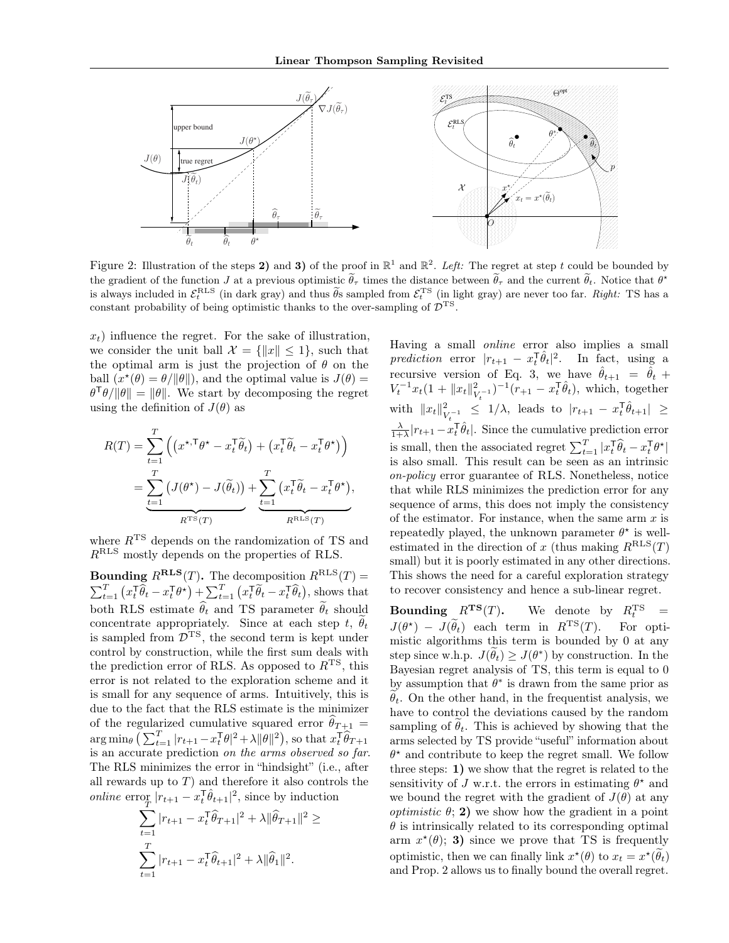

Figure 2: Illustration of the steps 2) and 3) of the proof in  $\mathbb{R}^1$  and  $\mathbb{R}^2$ . Left: The regret at step t could be bounded by the gradient of the function J at a previous optimistic  $\tilde{\theta}_{\tau}$  times the distance between  $\tilde{\theta}_{\tau}$  and the current  $\tilde{\theta}_{t}$ . Notice that  $\theta^{\star}$ is always included in  $\mathcal{E}_t^{\text{RLS}}$  (in dark gray) and thus  $\widetilde{\theta}_s$  sampled from  $\mathcal{E}_t^{\text{TS}}$  (in light gray) are never too far. Right: TS has a constant probability of being optimistic thanks to the over-sampling of  $\mathcal{D}^{TS}$ .

 $x_t$ ) influence the regret. For the sake of illustration, we consider the unit ball  $\mathcal{X} = \{\Vert x \Vert \leq 1\}$ , such that the optimal arm is just the projection of  $\theta$  on the ball  $(x^*(\theta) = \theta/\|\theta\|)$ , and the optimal value is  $J(\theta) =$  $\theta^{\mathsf{T}}\theta/\|\theta\| = \|\theta\|$ . We start by decomposing the regret using the definition of  $J(\theta)$  as

$$
R(T) = \sum_{t=1}^{T} \left( \left( x^{\star, \mathsf{T}} \theta^{\star} - x_t^{\mathsf{T}} \tilde{\theta}_t \right) + \left( x_t^{\mathsf{T}} \tilde{\theta}_t - x_t^{\mathsf{T}} \theta^{\star} \right) \right)
$$
  
= 
$$
\underbrace{\sum_{t=1}^{T} \left( J(\theta^{\star}) - J(\tilde{\theta}_t) \right)}_{R^{\text{TS}}(T)} + \underbrace{\sum_{t=1}^{T} \left( x_t^{\mathsf{T}} \tilde{\theta}_t - x_t^{\mathsf{T}} \theta^{\star} \right)}_{R^{\text{RLS}}(T)},
$$

where  $R^{TS}$  depends on the randomization of TS and RRLS mostly depends on the properties of RLS.

**Bounding**  $R^{\text{RLS}}(T)$ . The decomposition  $R^{\text{RLS}}(T)$  =  $\sum_{t=1}^T \left( x_t^\mathsf{T} \widehat{\theta}_t - x_t^\mathsf{T} \theta^\star \right) + \sum_{t=1}^T \left( x_t^\mathsf{T} \widetilde{\theta}_t - x_t^\mathsf{T} \widehat{\theta}_t \right)$ , shows that both RLS estimate  $\hat{\theta}_t$  and TS parameter  $\tilde{\theta}_t$  should concentrate appropriately. Since at each step t,  $\widetilde{\theta}_t$ is sampled from  $\overline{\mathcal{D}}^{TS}$ , the second term is kept under control by construction, while the first sum deals with the prediction error of RLS. As opposed to  $R<sup>TS</sup>$ , this error is not related to the exploration scheme and it is small for any sequence of arms. Intuitively, this is due to the fact that the RLS estimate is the minimizer of the regularized cumulative squared error  $\theta_{T+1} =$  $\arg \min_{\theta} \left( \sum_{t=1}^T |r_{t+1} - x_t^{\mathsf{T}} \theta|^2 + \lambda \|\theta\|^2 \right)$ , so that  $x_t^{\mathsf{T}} \widehat{\theta}_{T+1}$ is an accurate prediction on the arms observed so far. The RLS minimizes the error in "hindsight" (i.e., after all rewards up to  $T$ ) and therefore it also controls the *online* error  $|r_{t+1} - x_t^{\text{T}} \hat{\theta}_{t+1}|^2$ , since by induction

$$
\sum_{t=1}^T |r_{t+1} - x_t^{\mathsf{T}} \widehat{\theta}_{T+1}|^2 + \lambda \|\widehat{\theta}_{T+1}\|^2
$$
  

$$
\sum_{t=1}^T |r_{t+1} - x_t^{\mathsf{T}} \widehat{\theta}_{t+1}|^2 + \lambda \|\widehat{\theta}_1\|^2.
$$

 $\geq$ 

Having a small online error also implies a small prediction error  $|r_{t+1} - x_t^{\mathsf{T}} \hat{\theta}_t|^2$ . In fact, using a recursive version of Eq. 3, we have  $\hat{\theta}_{t+1} = \hat{\theta}_t +$  $V_t^{-1}x_t(1+\|x_t\|_V^2)$  $(v_{t-1})^{-1}(r_{+1} - x_t^{\mathsf{T}} \hat{\theta}_t)$ , which, together with  $||x_t||^2$  $\frac{2}{V_t^{-1}} \leq 1/\lambda$ , leads to  $|r_{t+1} - x_t^{\text{T}} \hat{\theta}_{t+1}| \geq$  $\frac{\lambda}{1+\lambda}|r_{t+1}-x_t^{\text{T}}\hat{\theta}_t|$ . Since the cumulative prediction error is small, then the associated regret  $\sum_{t=1}^{T} |x_t^\mathsf{T} \widehat{\theta}_t - x_t^\mathsf{T} \theta^\star|$ is also small. This result can be seen as an intrinsic on-policy error guarantee of RLS. Nonetheless, notice that while RLS minimizes the prediction error for any sequence of arms, this does not imply the consistency of the estimator. For instance, when the same arm  $x$  is repeatedly played, the unknown parameter  $\theta^*$  is wellestimated in the direction of x (thus making  $R^{\text{RLS}}(T)$ small) but it is poorly estimated in any other directions. This shows the need for a careful exploration strategy to recover consistency and hence a sub-linear regret.

**Bounding**  $R^{TS}(T)$ . We denote by  $R_t^{TS}$  =  $J(\theta^*) - J(\tilde{\theta}_t)$  each term in  $R^{TS}(T)$ . For optimistic algorithms this term is bounded by 0 at any step since w.h.p.  $J(\tilde{\theta}_t) \ge J(\theta^*)$  by construction. In the Bayesian regret analysis of TS, this term is equal to 0 by assumption that  $\theta^*$  is drawn from the same prior as  $\theta_t$ . On the other hand, in the frequentist analysis, we have to control the deviations caused by the random sampling of  $\hat{\theta}_t$ . This is achieved by showing that the arms selected by TS provide "useful" information about  $\theta^*$  and contribute to keep the regret small. We follow three steps: 1) we show that the regret is related to the sensitivity of J w.r.t. the errors in estimating  $\theta^*$  and we bound the regret with the gradient of  $J(\theta)$  at any *optimistic*  $\theta$ ; **2**) we show how the gradient in a point  $\theta$  is intrinsically related to its corresponding optimal arm  $x^*(\theta)$ ; 3) since we prove that TS is frequently optimistic, then we can finally link  $x^*(\theta)$  to  $x_t = x^*(\theta_t)$ and Prop. 2 allows us to finally bound the overall regret.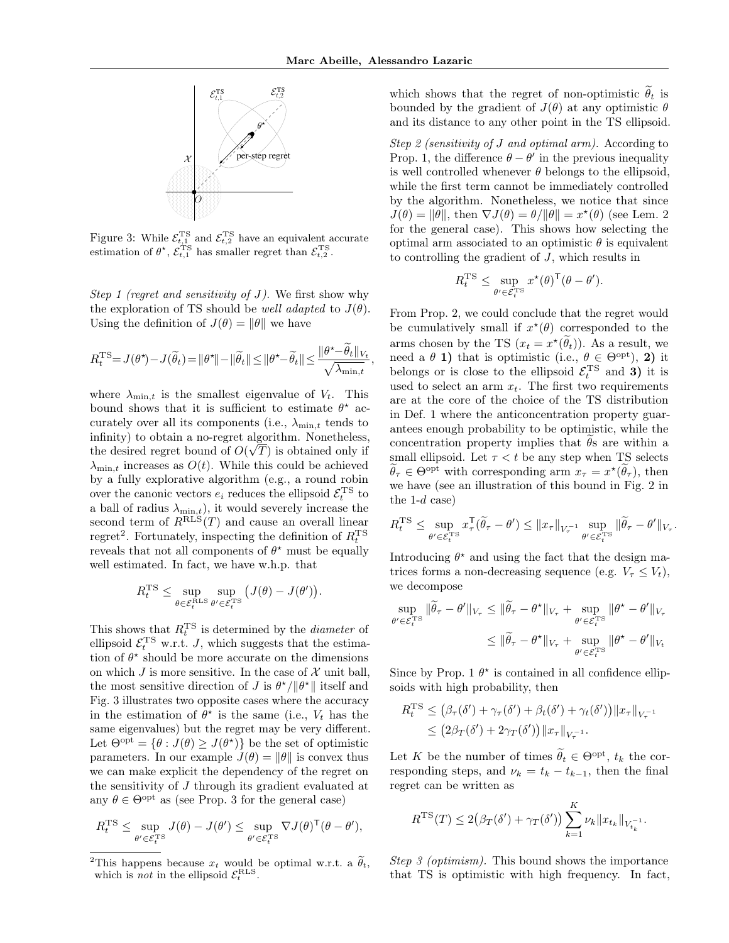

Figure 3: While  $\mathcal{E}_{t,1}^{\text{TS}}$  and  $\mathcal{E}_{t,2}^{\text{TS}}$  have an equivalent accurate estimation of  $\theta^*$ ,  $\mathcal{E}_{t,1}^{TS}$  has smaller regret than  $\mathcal{E}_{t,2}^{TS}$ .

Step 1 (regret and sensitivity of  $J$ ). We first show why the exploration of TS should be *well adapted* to  $J(\theta)$ . Using the definition of  $J(\theta) = ||\theta||$  we have

$$
R_t^{\text{TS}} = J(\theta^*) - J(\widetilde{\theta}_t) = ||\theta^*|| - ||\widetilde{\theta}_t|| \le ||\theta^* - \widetilde{\theta}_t|| \le \frac{||\theta^* - \widetilde{\theta}_t||_{V_t}}{\sqrt{\lambda_{\min,t}}},
$$

where  $\lambda_{\min,t}$  is the smallest eigenvalue of  $V_t$ . This bound shows that it is sufficient to estimate  $\theta^*$  accurately over all its components (i.e.,  $\lambda_{\min,t}$  tends to infinity) to obtain a no-regret algorithm. Nonetheless, the desired regret bound of  $O(\sqrt{T})$  is obtained only if  $\lambda_{\min,t}$  increases as  $O(t)$ . While this could be achieved by a fully explorative algorithm (e.g., a round robin over the canonic vectors  $e_i$  reduces the ellipsoid  $\mathcal{E}_t^{\rm TS}$  to a ball of radius  $\lambda_{\min,t}$ , it would severely increase the second term of  $R_{\text{RLS}}(T)$  and cause an overall linear regret<sup>2</sup>. Fortunately, inspecting the definition of  $R_t^{\text{TS}}$ reveals that not all components of  $\theta^*$  must be equally well estimated. In fact, we have w.h.p. that

$$
R_t^{\mathrm{TS}} \le \sup_{\theta \in \mathcal{E}_t^{\mathrm{RLS}} } \sup_{\theta' \in \mathcal{E}_t^{\mathrm{TS}}} \left( J(\theta) - J(\theta') \right).
$$

This shows that  $R_t^{\text{TS}}$  is determined by the *diameter* of ellipsoid  $\mathcal{E}_t^{\text{TS}}$  w.r.t. *J*, which suggests that the estimation of  $\theta^*$  should be more accurate on the dimensions on which J is more sensitive. In the case of  $\mathcal X$  unit ball, the most sensitive direction of  $J$  is  $\theta^{\star}/\|\theta^{\star}\|$  itself and Fig. 3 illustrates two opposite cases where the accuracy in the estimation of  $\theta^*$  is the same (i.e.,  $V_t$  has the same eigenvalues) but the regret may be very different. Let  $\Theta^{\text{opt}} = \{ \theta : J(\theta) \geq J(\theta^{\star}) \}$  be the set of optimistic parameters. In our example  $J(\theta) = ||\theta||$  is convex thus we can make explicit the dependency of the regret on the sensitivity of J through its gradient evaluated at any  $\theta \in \Theta^{\text{opt}}$  as (see Prop. 3 for the general case)

$$
R_t^{\rm TS} \leq \sup_{\theta' \in \mathcal{E}_t^{\rm TS}} J(\theta) - J(\theta') \leq \sup_{\theta' \in \mathcal{E}_t^{\rm TS}} \nabla J(\theta)^{\sf T}(\theta - \theta'),
$$

which shows that the regret of non-optimistic  $\tilde{\theta}_t$  is bounded by the gradient of  $J(\theta)$  at any optimistic  $\theta$ and its distance to any other point in the TS ellipsoid.

Step 2 (sensitivity of J and optimal arm). According to Prop. 1, the difference  $\theta - \theta'$  in the previous inequality is well controlled whenever  $\theta$  belongs to the ellipsoid, while the first term cannot be immediately controlled by the algorithm. Nonetheless, we notice that since  $J(\theta) = \|\theta\|$ , then  $\nabla J(\theta) = \theta/\|\theta\| = x^*(\theta)$  (see Lem. 2) for the general case). This shows how selecting the optimal arm associated to an optimistic  $\theta$  is equivalent to controlling the gradient of J, which results in

$$
R_t^{\mathrm{TS}} \le \sup_{\theta' \in \mathcal{E}_t^{\mathrm{TS}}} x^{\star}(\theta)^{\mathsf{T}}(\theta - \theta').
$$

From Prop. 2, we could conclude that the regret would be cumulatively small if  $x^*(\theta)$  corresponded to the arms chosen by the TS  $(x_t = x^{\star}(\tilde{\theta}_t))$ . As a result, we need a  $\theta$  1) that is optimistic (i.e.,  $\theta \in \Theta^{\text{opt}}$ ), 2) it belongs or is close to the ellipsoid  $\mathcal{E}_t^{\text{TS}}$  and **3**) it is used to select an arm  $x_t$ . The first two requirements are at the core of the choice of the TS distribution in Def. 1 where the anticoncentration property guarantees enough probability to be optimistic, while the concentration property implies that  $\theta$ s are within a small ellipsoid. Let  $\tau < t$  be any step when TS selects  $\tilde{\theta}_{\tau} \in \Theta^{\text{opt}}$  with corresponding arm  $x_{\tau} = x^{\star}(\tilde{\theta}_{\tau}),$  then we have (see an illustration of this bound in Fig. 2 in the  $1-d$  case)

$$
R_t^{\rm TS}\leq \sup_{\theta'\in \mathcal{E}_t^{\rm TS}}x_\tau^{\sf T}(\widetilde{\theta}_\tau-\theta')\leq \|x_\tau\|_{V_\tau^{-1}}\sup_{\theta'\in \mathcal{E}_t^{\rm TS}}\|\widetilde{\theta}_\tau-\theta'\|_{V_\tau}.
$$

Introducing  $\theta^*$  and using the fact that the design matrices forms a non-decreasing sequence (e.g.  $V_\tau \leq V_t$ ), we decompose

$$
\sup_{\theta' \in \mathcal{E}_t^{\text{TS}}} \|\widetilde{\theta}_{\tau} - \theta'\|_{V_{\tau}} \le \|\widetilde{\theta}_{\tau} - \theta^{\star}\|_{V_{\tau}} + \sup_{\theta' \in \mathcal{E}_t^{\text{TS}}} \|\theta^{\star} - \theta'\|_{V_{\tau}}
$$

$$
\le \|\widetilde{\theta}_{\tau} - \theta^{\star}\|_{V_{\tau}} + \sup_{\theta' \in \mathcal{E}_t^{\text{TS}}} \|\theta^{\star} - \theta'\|_{V_t}
$$

Since by Prop. 1  $\theta^*$  is contained in all confidence ellipsoids with high probability, then

$$
R_t^{\text{TS}} \le (\beta_\tau(\delta') + \gamma_\tau(\delta') + \beta_t(\delta') + \gamma_t(\delta')) \|x_\tau\|_{V_\tau^{-1}} \le (2\beta_T(\delta') + 2\gamma_T(\delta')) \|x_\tau\|_{V_\tau^{-1}}.
$$

Let K be the number of times  $\tilde{\theta}_t \in \Theta^{\text{opt}}$ ,  $t_k$  the corresponding steps, and  $\nu_k = t_k - t_{k-1}$ , then the final regret can be written as

$$
R^{TS}(T) \le 2(\beta_T(\delta') + \gamma_T(\delta')) \sum_{k=1}^K \nu_k ||x_{t_k}||_{V_{t_k}^{-1}}.
$$

Step 3 (optimism). This bound shows the importance that TS is optimistic with high frequency. In fact,

<sup>&</sup>lt;sup>2</sup>This happens because  $x_t$  would be optimal w.r.t. a  $\tilde{\theta}_t$ , which is *not* in the ellipsoid  $\mathcal{E}_t^{\text{RLS}}$ .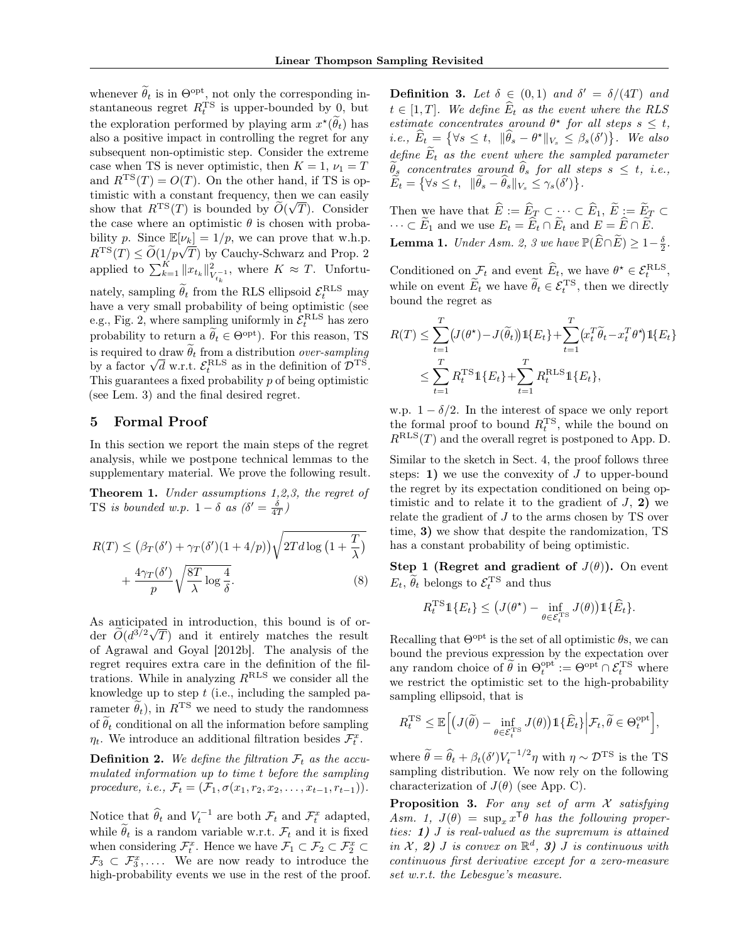whenever  $\tilde{\theta}_t$  is in  $\Theta_{\text{opt}}^{\text{opt}}$ , not only the corresponding instantaneous regret  $R_t^{\text{TS}}$  is upper-bounded by 0, but the exploration performed by playing arm  $x^{\star}(\tilde{\theta}_{t})$  has also a positive impact in controlling the regret for any subsequent non-optimistic step. Consider the extreme case when TS is never optimistic, then  $K = 1$ ,  $\nu_1 = T$ and  $R^{TS}(T) = O(T)$ . On the other hand, if TS is optimistic with a constant frequency, then we can easily show that  $R^{TS}(T)$  is bounded by  $\widetilde{O}(\sqrt{T})$ . Consider the case where an optimistic  $\theta$  is chosen with probability p. Since  $\mathbb{E}[\nu_k] = 1/p$ , we can prove that w.h.p.  $R^{TS}(T) \leq \widetilde{O}(1/p\sqrt{T})$  by Cauchy-Schwarz and Prop. 2 applied to  $\sum_{k=1}^K ||x_{t_k}||_V^2$  $\frac{2}{V_{t_k}^{-1}}$ , where  $K \approx T$ . Unfortunately, sampling  $\widetilde{\theta}_t$  from the RLS ellipsoid  $\mathcal{E}_t^{\text{RLS}}$  may have a very small probability of being optimistic (see e.g., Fig. 2, where sampling uniformly in  $\mathcal{E}_t^{\text{RLS}}$  has zero probability to return a  $\widetilde{\theta}_t \in \Theta^{\text{opt}}$ ). For this reason, TS is required to draw  $\theta_t$  from a distribution *over-sampling*<br>by a factor  $\sqrt{d}$  w.r.t.  $\mathcal{E}_t^{\text{RLS}}$  as in the definition of  $\mathcal{D}^{\text{TS}}$ . This guarantees a fixed probability  $p$  of being optimistic (see Lem. 3) and the final desired regret.

# 5 Formal Proof

In this section we report the main steps of the regret analysis, while we postpone technical lemmas to the supplementary material. We prove the following result.

Theorem 1. Under assumptions 1,2,3, the regret of TS is bounded w.p.  $1 - \delta$  as  $(\delta' = \frac{\delta}{4T})$ 

$$
R(T) \le (\beta_T(\delta') + \gamma_T(\delta')(1 + 4/p))\sqrt{2Td\log(1 + \frac{T}{\lambda})} + \frac{4\gamma_T(\delta')}{p}\sqrt{\frac{8T}{\lambda}\log\frac{4}{\delta}}.
$$
 (8)

As anticipated in introduction, this bound is of order  $\tilde{O}(d^{3/2}\sqrt{T})$  and it entirely matches the result of Agrawal and Goyal [2012b]. The analysis of the regret requires extra care in the definition of the filtrations. While in analyzing  $R^{\text{RLS}}$  we consider all the knowledge up to step  $t$  (i.e., including the sampled parameter  $\tilde{\theta}_t$ , in  $R^{TS}$  we need to study the randomness of  $\tilde{\theta}_t$  conditional on all the information before sampling  $\eta_t$ . We introduce an additional filtration besides  $\mathcal{F}_t^x$ .

**Definition 2.** We define the filtration  $\mathcal{F}_t$  as the accumulated information up to time t before the sampling procedure, i.e.,  $\mathcal{F}_t = (\mathcal{F}_1, \sigma(x_1, r_2, x_2, \ldots, x_{t-1}, r_{t-1})).$ 

Notice that  $\widehat{\theta}_t$  and  $V_t^{-1}$  are both  $\mathcal{F}_t$  and  $\mathcal{F}_t^x$  adapted, while  $\hat{\theta}_t$  is a random variable w.r.t.  $\mathcal{F}_t$  and it is fixed when considering  $\mathcal{F}_{t}^{x}$ . Hence we have  $\mathcal{F}_{1} \subset \mathcal{F}_{2} \subset \mathcal{F}_{2}^{x} \subset$  $\mathcal{F}_3 \subset \mathcal{F}_3^x, \ldots$  We are now ready to introduce the high-probability events we use in the rest of the proof.

**Definition 3.** Let  $\delta \in (0,1)$  and  $\delta' = \delta/(4T)$  and  $t \in [1, T]$ . We define  $\widehat{E}_t$  as the event where the RLS estimate concentrates around  $\theta^*$  for all steps  $s \leq t$ , *i.e.*,  $\widehat{E}_t = \{ \forall s \leq t, \|\widehat{\theta}_s - \theta^{\star}\|_{V_s} \leq \beta_s(\delta') \}.$  We also define  $E_t$  as the event where the sampled parameter  $\widetilde{\theta}_s$  concentrates around  $\widehat{\theta}_s$  for all steps  $s \leq t$ , i.e.,  $\widetilde{E}_t = \left\{ \forall s \leq t, \, \|\widetilde{\theta}_s - \widehat{\theta}_s\|_{V_s} \leq \gamma_s(\delta') \right\}.$ 

Then we have that  $E := E_{\mathcal{I}} \subset \cdots \subset E_1, E := E_{\mathcal{I}} \subset$  $\cdots \subset E_1$  and we use  $E_t = E_t \cap E_t$  and  $E = E \cap E$ . **Lemma 1.** Under Asm. 2, 3 we have  $\mathbb{P}(\widehat{E}\cap\widetilde{E})\geq1-\frac{\delta}{2}$ .

Conditioned on  $\mathcal{F}_t$  and event  $\widehat{E}_t$ , we have  $\theta^* \in \mathcal{E}_t^{\text{RLS}}$ , while on event  $\widetilde{E}_t$  we have  $\widetilde{\theta}_t \in \mathcal{E}_t^{\text{TS}}$ , then we directly bound the regret as

$$
R(T) \leq \sum_{t=1}^{T} (J(\theta^*) - J(\tilde{\theta}_t)) \mathbb{1}\{E_t\} + \sum_{t=1}^{T} (x_t^T \tilde{\theta}_t - x_t^T \theta^*) \mathbb{1}\{E_t\} \n\leq \sum_{t=1}^{T} R_t^{\text{TS}} \mathbb{1}\{E_t\} + \sum_{t=1}^{T} R_t^{\text{RLS}} \mathbb{1}\{E_t\},
$$

w.p.  $1 - \delta/2$ . In the interest of space we only report the formal proof to bound  $R_t^{\text{TS}}$ , while the bound on  $R<sup>RLS</sup>(T)$  and the overall regret is postponed to App. D.

Similar to the sketch in Sect. 4, the proof follows three steps: 1) we use the convexity of  $J$  to upper-bound the regret by its expectation conditioned on being optimistic and to relate it to the gradient of  $J$ , 2) we relate the gradient of J to the arms chosen by TS over time, 3) we show that despite the randomization, TS has a constant probability of being optimistic.

Step 1 (Regret and gradient of  $J(\theta)$ ). On event  $E_t$ ,  $\widetilde{\theta}_t$  belongs to  $\mathcal{E}_t^{\text{TS}}$  and thus

$$
R_t^{\mathrm{TS}} \mathbb{1}\{E_t\} \leq \big(J(\theta^\star) - \inf_{\theta \in \mathcal{E}_t^{\mathrm{TS}}} J(\theta)\big) \mathbb{1}\{\widehat{E}_t\}.
$$

Recalling that  $\Theta^{\text{opt}}$  is the set of all optimistic  $\theta$ s, we can bound the previous expression by the expectation over any random choice of  $\tilde{\theta}$  in  $\Theta_t^{\text{opt}} := \Theta_{\text{opt}} \cap \mathcal{E}_t^{\text{TS}}$  where we restrict the optimistic set to the high-probability sampling ellipsoid, that is

$$
R_t^{\rm TS}\leq \mathbb{E}\Big[\big(J(\widetilde{\theta})-\inf_{\theta\in\mathcal{E}_t^{\rm TS}}J(\theta)\big)\mathbbm{1}\{\widehat{E}_t\}\Big|\mathcal{F}_t,\widetilde{\theta}\in\Theta_t^{\rm opt}\Big],
$$

where  $\tilde{\theta} = \hat{\theta}_t + \beta_t(\delta') V_t^{-1/2} \eta$  with  $\eta \sim \mathcal{D}^{TS}$  is the TS sampling distribution. We now rely on the following characterization of  $J(\theta)$  (see App. C).

**Proposition 3.** For any set of arm  $\mathcal X$  satisfying Asm. 1,  $J(\theta) = \sup_x x^{\mathsf{T}} \theta$  has the following properties: 1) J is real-valued as the supremum is attained in  $\mathcal{X}, 2)$  J is convex on  $\mathbb{R}^d$ , 3) J is continuous with continuous first derivative except for a zero-measure set w.r.t. the Lebesgue's measure.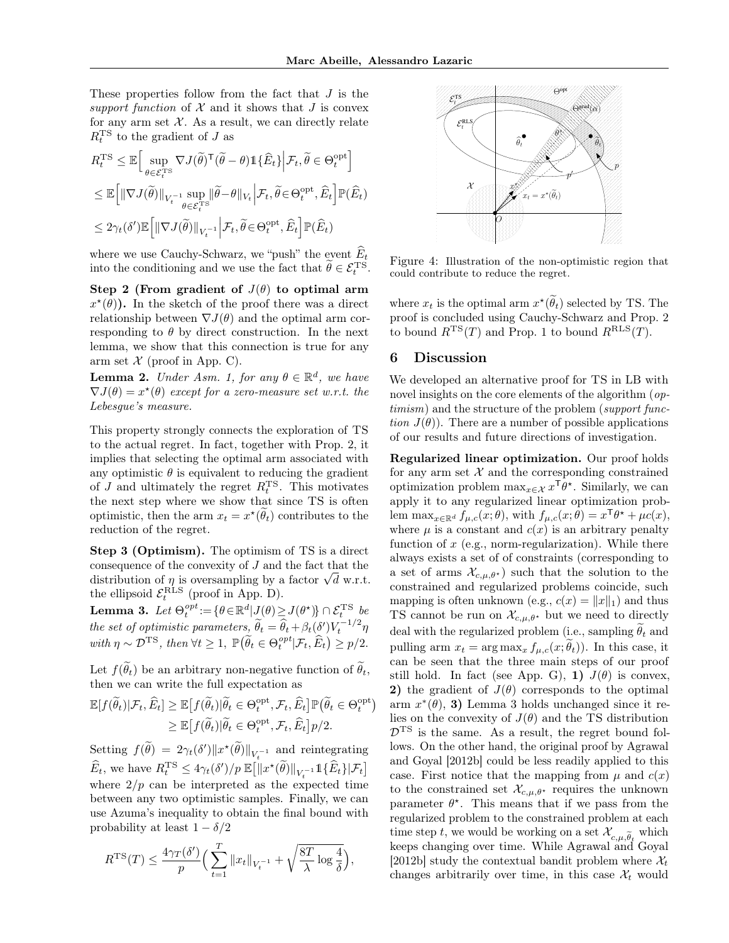These properties follow from the fact that J is the support function of  $\mathcal X$  and it shows that  $J$  is convex for any arm set  $\mathcal{X}$ . As a result, we can directly relate  $R_t^{\text{TS}}$  to the gradient of J as

$$
\begin{split} &R_t^{\rm TS}\leq \mathbb{E}\Big[\sup_{\theta\in\mathcal{E}_t^{\rm TS}} \nabla J(\widetilde{\theta})^{\sf T}(\widetilde{\theta}-\theta) \mathbb{1}\{\widehat{E}_t\} \Big| \mathcal{F}_t, \widetilde{\theta}\in\Theta_t^{\rm opt}\Big]\\ &\leq \mathbb{E}\Big[\|\nabla J(\widetilde{\theta})\|_{V_t^{-1}}\sup_{\theta\in\mathcal{E}_t^{\rm TS}}\|\widetilde{\theta}-\theta\|_{V_t}\Big| \mathcal{F}_t, \widetilde{\theta}\in\Theta_t^{\rm opt}, \widehat{E}_t\Big]\mathbb{P}(\widehat{E}_t)\\ &\leq 2\gamma_t(\delta')\mathbb{E}\Big[\|\nabla J(\widetilde{\theta})\|_{V_t^{-1}}\Big| \mathcal{F}_t, \widetilde{\theta}\in\Theta_t^{\rm opt}, \widehat{E}_t\Big]\mathbb{P}(\widehat{E}_t) \end{split}
$$

where we use Cauchy-Schwarz, we "push" the event  $\widehat{E}_t$ into the conditioning and we use the fact that  $\tilde{\theta} \in \mathcal{E}_t^{\text{TS}}$ .

Step 2 (From gradient of  $J(\theta)$  to optimal arm  $x^{\star}(\theta)$ ). In the sketch of the proof there was a direct relationship between  $\nabla J(\theta)$  and the optimal arm corresponding to  $\theta$  by direct construction. In the next lemma, we show that this connection is true for any arm set  $\mathcal X$  (proof in App. C).

**Lemma 2.** Under Asm. 1, for any  $\theta \in \mathbb{R}^d$ , we have  $\nabla J(\theta) = x^{\star}(\theta)$  except for a zero-measure set w.r.t. the Lebesgue's measure.

This property strongly connects the exploration of TS to the actual regret. In fact, together with Prop. 2, it implies that selecting the optimal arm associated with any optimistic  $\theta$  is equivalent to reducing the gradient of  $J$  and ultimately the regret  $R_t^{\text{TS}}$ . This motivates the next step where we show that since TS is often optimistic, then the arm  $x_t = x^*(\theta_t)$  contributes to the reduction of the regret.

Step 3 (Optimism). The optimism of TS is a direct consequence of the convexity of J and the fact that the distribution of  $\eta$  is oversampling by a factor  $\sqrt{d}$  w.r.t. the ellipsoid  $\mathcal{E}_t^{\text{RLS}}$  (proof in App. D).

**Lemma 3.** Let  $\Theta_t^{opt} := {\theta \in \mathbb{R}^d | J(\theta) \ge J(\theta^*) \cap \mathcal{E}_t^{TS}}$  be the set of optimistic parameters,  $\widetilde{\theta}_t = \widehat{\theta}_t + \beta_t(\delta')V_t^{-1/2}\eta$ with  $\eta \sim \mathcal{D}^{TS}$ , then  $\forall t \geq 1$ ,  $\mathbb{P}(\widetilde{\theta}_t \in \Theta_t^{opt} | \mathcal{F}_t, \widehat{E}_t) \geq p/2$ .

Let  $f(\tilde{\theta}_t)$  be an arbitrary non-negative function of  $\tilde{\theta}_t$ , then we can write the full expectation as

$$
\mathbb{E}[f(\widetilde{\theta}_t)|\mathcal{F}_t, \widehat{E}_t] \geq \mathbb{E}[f(\widetilde{\theta}_t)|\widetilde{\theta}_t \in \Theta_t^{\text{opt}}, \mathcal{F}_t, \widehat{E}_t] \mathbb{P}(\widetilde{\theta}_t \in \Theta_t^{\text{opt}}) \geq \mathbb{E}[f(\widetilde{\theta}_t)|\widetilde{\theta}_t \in \Theta_t^{\text{opt}}, \mathcal{F}_t, \widehat{E}_t] p/2.
$$

Setting  $f(\tilde{\theta}) = 2\gamma_t(\delta') \|x^{\star}(\tilde{\theta})\|_{V_t^{-1}}$  and reintegrating  $\widehat{E}_t$ , we have  $R_t^{\text{TS}} \leq 4\gamma_t(\delta')/p \mathbb{E}\big[\|x^{\star}(\widetilde{\theta})\|_{V_t^{-1}}1\{\widehat{E}_t\}|\mathcal{F}_t\big]$ where  $2/p$  can be interpreted as the expected time between any two optimistic samples. Finally, we can use Azuma's inequality to obtain the final bound with probability at least  $1 - \delta/2$ 

$$
R^{TS}(T) \le \frac{4\gamma_T(\delta')}{p} \Big(\sum_{t=1}^T \|x_t\|_{V_t^{-1}} + \sqrt{\frac{8T}{\lambda} \log \frac{4}{\delta}}\Big),
$$



Figure 4: Illustration of the non-optimistic region that could contribute to reduce the regret.

where  $x_t$  is the optimal arm  $x^{\star}(\tilde{\theta}_t)$  selected by TS. The proof is concluded using Cauchy-Schwarz and Prop. 2 to bound  $R^{TS}(T)$  and Prop. 1 to bound  $R^{RLS}(T)$ .

#### 6 Discussion

We developed an alternative proof for TS in LB with novel insights on the core elements of the algorithm (*op*timism) and the structure of the problem (support function  $J(\theta)$ ). There are a number of possible applications of our results and future directions of investigation.

Regularized linear optimization. Our proof holds for any arm set  $X$  and the corresponding constrained optimization problem  $\max_{x \in \mathcal{X}} x^{\mathsf{T}} \theta^*$ . Similarly, we can apply it to any regularized linear optimization problem  $\max_{x \in \mathbb{R}^d} f_{\mu,c}(x;\theta)$ , with  $f_{\mu,c}(x;\theta) = x^{\mathsf{T}} \theta^* + \mu c(x)$ , where  $\mu$  is a constant and  $c(x)$  is an arbitrary penalty function of  $x$  (e.g., norm-regularization). While there always exists a set of of constraints (corresponding to a set of arms  $\mathcal{X}_{c,\mu,\theta^*}$  such that the solution to the constrained and regularized problems coincide, such mapping is often unknown (e.g.,  $c(x) = ||x||_1$ ) and thus TS cannot be run on  $\mathcal{X}_{c,\mu,\theta^*}$  but we need to directly deal with the regularized problem (i.e., sampling  $\theta_t$  and pulling arm  $x_t = \arg \max_x f_{\mu,c}(x; \theta_t)$ . In this case, it can be seen that the three main steps of our proof still hold. In fact (see App. G), 1)  $J(\theta)$  is convex, 2) the gradient of  $J(\theta)$  corresponds to the optimal  $arm x^*(\theta),$  3) Lemma 3 holds unchanged since it relies on the convexity of  $J(\theta)$  and the TS distribution  $\mathcal{D}^{TS}$  is the same. As a result, the regret bound follows. On the other hand, the original proof by Agrawal and Goyal [2012b] could be less readily applied to this case. First notice that the mapping from  $\mu$  and  $c(x)$ to the constrained set  $\mathcal{X}_{c,\mu,\theta^*}$  requires the unknown parameter  $\theta^*$ . This means that if we pass from the regularized problem to the constrained problem at each time step t, we would be working on a set  $\mathcal{X}_{c,\mu,\widetilde{\theta}_t}$  which the step t, we would be working on a set  $\lambda_{c,\mu,\theta_t}$  which<br>keeps changing over time. While Agrawal and Goyal [2012b] study the contextual bandit problem where  $\mathcal{X}_t$ changes arbitrarily over time, in this case  $\mathcal{X}_t$  would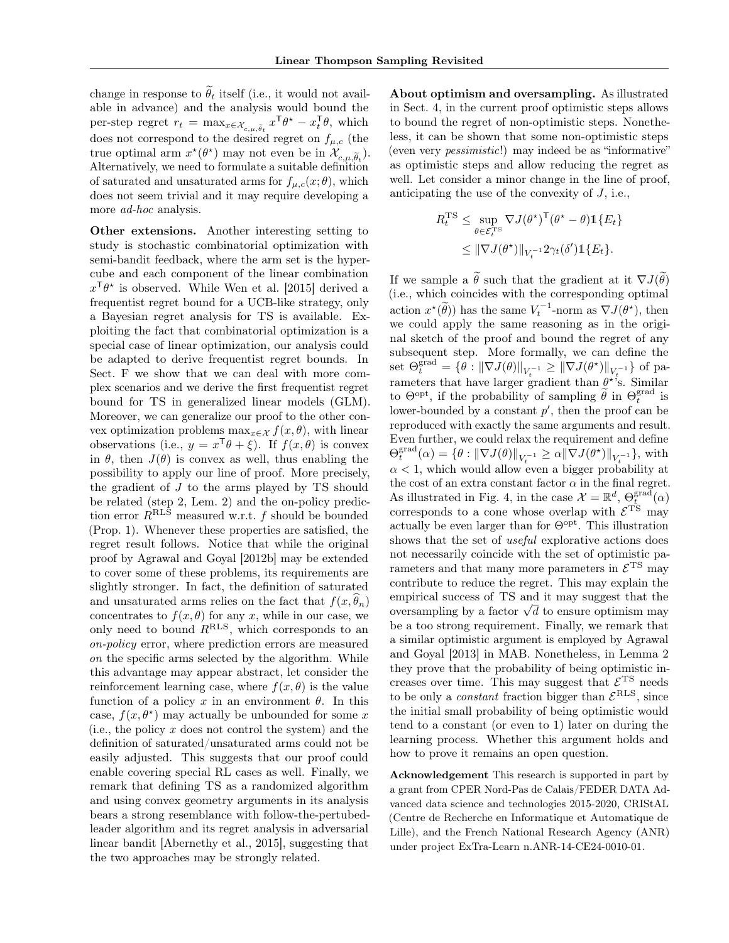change in response to  $\tilde{\theta}_t$  itself (i.e., it would not available in advance) and the analysis would bound the per-step regret  $r_t = \max_{x \in \mathcal{X}_{c,\mu,\tilde{\theta}_t}} x^{\mathsf{T}} \theta^* - x_t^{\mathsf{T}} \theta$ , which does not correspond to the desired regret on  $f_{\mu,c}$  (the true optimal arm  $x^*(\theta^*)$  may not even be in  $\mathcal{X}_{c,\mu,\tilde{\theta}_t}$ . Alternatively, we need to formulate a suitable definition of saturated and unsaturated arms for  $f_{\mu,c}(x;\theta)$ , which does not seem trivial and it may require developing a more *ad-hoc* analysis.

Other extensions. Another interesting setting to study is stochastic combinatorial optimization with semi-bandit feedback, where the arm set is the hypercube and each component of the linear combination  $x^{\mathsf{T}}\theta^*$  is observed. While Wen et al. [2015] derived a frequentist regret bound for a UCB-like strategy, only a Bayesian regret analysis for TS is available. Exploiting the fact that combinatorial optimization is a special case of linear optimization, our analysis could be adapted to derive frequentist regret bounds. In Sect. F we show that we can deal with more complex scenarios and we derive the first frequentist regret bound for TS in generalized linear models (GLM). Moreover, we can generalize our proof to the other convex optimization problems  $\max_{x \in \mathcal{X}} f(x, \theta)$ , with linear observations (i.e.,  $y = x^{\mathsf{T}}\theta + \xi$ ). If  $f(x, \theta)$  is convex in  $\theta$ , then  $J(\theta)$  is convex as well, thus enabling the possibility to apply our line of proof. More precisely, the gradient of J to the arms played by TS should be related (step 2, Lem. 2) and the on-policy prediction error  $R^{RLS}$  measured w.r.t. f should be bounded (Prop. 1). Whenever these properties are satisfied, the regret result follows. Notice that while the original proof by Agrawal and Goyal [2012b] may be extended to cover some of these problems, its requirements are slightly stronger. In fact, the definition of saturated and unsaturated arms relies on the fact that  $f(x, \theta_n)$ concentrates to  $f(x, \theta)$  for any x, while in our case, we only need to bound  $R^{RLS}$ , which corresponds to an on-policy error, where prediction errors are measured on the specific arms selected by the algorithm. While this advantage may appear abstract, let consider the reinforcement learning case, where  $f(x, \theta)$  is the value function of a policy x in an environment  $\theta$ . In this case,  $f(x, \theta^*)$  may actually be unbounded for some x (i.e., the policy  $x$  does not control the system) and the definition of saturated/unsaturated arms could not be easily adjusted. This suggests that our proof could enable covering special RL cases as well. Finally, we remark that defining TS as a randomized algorithm and using convex geometry arguments in its analysis bears a strong resemblance with follow-the-pertubedleader algorithm and its regret analysis in adversarial linear bandit [Abernethy et al., 2015], suggesting that the two approaches may be strongly related.

About optimism and oversampling. As illustrated in Sect. 4, in the current proof optimistic steps allows to bound the regret of non-optimistic steps. Nonetheless, it can be shown that some non-optimistic steps (even very pessimistic!) may indeed be as "informative" as optimistic steps and allow reducing the regret as well. Let consider a minor change in the line of proof, anticipating the use of the convexity of  $J$ , i.e.,

$$
R_t^{\text{TS}} \leq \sup_{\theta \in \mathcal{E}_t^{\text{TS}}} \nabla J(\theta^{\star})^{\text{T}} (\theta^{\star} - \theta) \mathbb{1} \{ E_t \}
$$
  

$$
\leq \| \nabla J(\theta^{\star}) \|_{V_t^{-1}} 2 \gamma_t(\delta') \mathbb{1} \{ E_t \}.
$$

If we sample a  $\ddot{\theta}$  such that the gradient at it  $\nabla J(\ddot{\theta})$ (i.e., which coincides with the corresponding optimal action  $x^*(\tilde{\theta})$  has the same  $V_t^{-1}$ -norm as  $\nabla J(\theta^*)$ , then we could apply the same reasoning as in the original sketch of the proof and bound the regret of any subsequent step. More formally, we can define the set  $\Theta_t^{\text{grad}} = \{ \theta : ||\nabla J(\theta)||_{V_t^{-1}} \geq ||\nabla J(\theta^{\star})||_{V_t^{-1}} \}$  of parameters that have larger gradient than  $\theta^*$ 's. Similar to  $\Theta^{\text{opt}}$ , if the probability of sampling  $\tilde{\theta}$  in  $\Theta_t^{\text{grad}}$  is lower-bounded by a constant  $p'$ , then the proof can be reproduced with exactly the same arguments and result. Even further, we could relax the requirement and define  $\Theta_t^{\text{grad}}(\alpha) = \{ \theta : ||\nabla J(\theta)||_{V_t^{-1}} \ge \alpha ||\nabla J(\theta^*)||_{V_t^{-1}} \},\$  with  $\alpha < 1$ , which would allow even a bigger probability at the cost of an extra constant factor  $\alpha$  in the final regret. As illustrated in Fig. 4, in the case  $\mathcal{X} = \mathbb{R}^d$ ,  $\Theta_t^{\text{grad}}(\alpha)$ corresponds to a cone whose overlap with  $\mathcal{E}^{\text{TS}}$  may actually be even larger than for  $\Theta^{\text{opt}}$ . This illustration shows that the set of *useful* explorative actions does not necessarily coincide with the set of optimistic parameters and that many more parameters in  $\mathcal{E}^{\rm TS}$  may contribute to reduce the regret. This may explain the empirical success of TS and it may suggest that the oversampling by a factor  $\sqrt{d}$  to ensure optimism may cover be a too strong requirement. Finally, we remark that a similar optimistic argument is employed by Agrawal and Goyal [2013] in MAB. Nonetheless, in Lemma 2 they prove that the probability of being optimistic increases over time. This may suggest that  $\mathcal{E}^{\text{TS}}$  needs to be only a *constant* fraction bigger than  $\mathcal{E}^{\text{RLS}}$ , since the initial small probability of being optimistic would tend to a constant (or even to 1) later on during the learning process. Whether this argument holds and how to prove it remains an open question.

Acknowledgement This research is supported in part by a grant from CPER Nord-Pas de Calais/FEDER DATA Advanced data science and technologies 2015-2020, CRIStAL (Centre de Recherche en Informatique et Automatique de Lille), and the French National Research Agency (ANR) under project ExTra-Learn n.ANR-14-CE24-0010-01.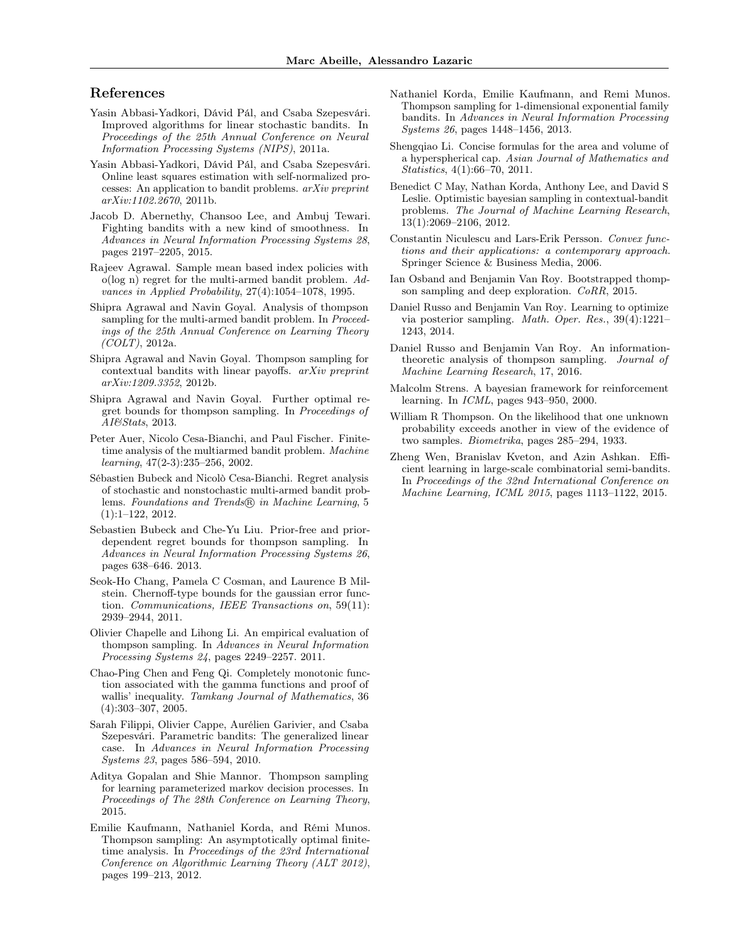#### References

- Yasin Abbasi-Yadkori, Dávid Pál, and Csaba Szepesvári. Improved algorithms for linear stochastic bandits. In Proceedings of the 25th Annual Conference on Neural Information Processing Systems (NIPS), 2011a.
- Yasin Abbasi-Yadkori, Dávid Pál, and Csaba Szepesvári. Online least squares estimation with self-normalized processes: An application to bandit problems. arXiv preprint arXiv:1102.2670, 2011b.
- Jacob D. Abernethy, Chansoo Lee, and Ambuj Tewari. Fighting bandits with a new kind of smoothness. In Advances in Neural Information Processing Systems 28, pages 2197–2205, 2015.
- Rajeev Agrawal. Sample mean based index policies with o(log n) regret for the multi-armed bandit problem. Advances in Applied Probability, 27(4):1054–1078, 1995.
- Shipra Agrawal and Navin Goyal. Analysis of thompson sampling for the multi-armed bandit problem. In *Proceed*ings of the 25th Annual Conference on Learning Theory  $(COLT)$ , 2012a.
- Shipra Agrawal and Navin Goyal. Thompson sampling for contextual bandits with linear payoffs. arXiv preprint arXiv:1209.3352, 2012b.
- Shipra Agrawal and Navin Goyal. Further optimal regret bounds for thompson sampling. In Proceedings of AI&Stats, 2013.
- Peter Auer, Nicolo Cesa-Bianchi, and Paul Fischer. Finitetime analysis of the multiarmed bandit problem. Machine learning, 47(2-3):235–256, 2002.
- Sébastien Bubeck and Nicolò Cesa-Bianchi. Regret analysis of stochastic and nonstochastic multi-armed bandit problems. Foundations and Trends® in Machine Learning, 5 (1):1–122, 2012.
- Sebastien Bubeck and Che-Yu Liu. Prior-free and priordependent regret bounds for thompson sampling. In Advances in Neural Information Processing Systems 26, pages 638–646. 2013.
- Seok-Ho Chang, Pamela C Cosman, and Laurence B Milstein. Chernoff-type bounds for the gaussian error function. Communications, IEEE Transactions on, 59(11): 2939–2944, 2011.
- Olivier Chapelle and Lihong Li. An empirical evaluation of thompson sampling. In Advances in Neural Information Processing Systems 24, pages 2249–2257. 2011.
- Chao-Ping Chen and Feng Qi. Completely monotonic function associated with the gamma functions and proof of wallis' inequality. Tamkang Journal of Mathematics, 36 (4):303–307, 2005.
- Sarah Filippi, Olivier Cappe, Aurélien Garivier, and Csaba Szepesvári. Parametric bandits: The generalized linear case. In Advances in Neural Information Processing Systems 23, pages 586–594, 2010.
- Aditya Gopalan and Shie Mannor. Thompson sampling for learning parameterized markov decision processes. In Proceedings of The 28th Conference on Learning Theory, 2015.
- Emilie Kaufmann, Nathaniel Korda, and Rémi Munos. Thompson sampling: An asymptotically optimal finitetime analysis. In Proceedings of the 23rd International Conference on Algorithmic Learning Theory (ALT 2012), pages 199–213, 2012.
- Nathaniel Korda, Emilie Kaufmann, and Remi Munos. Thompson sampling for 1-dimensional exponential family bandits. In Advances in Neural Information Processing Systems 26, pages 1448–1456, 2013.
- Shengqiao Li. Concise formulas for the area and volume of a hyperspherical cap. Asian Journal of Mathematics and Statistics, 4(1):66–70, 2011.
- Benedict C May, Nathan Korda, Anthony Lee, and David S Leslie. Optimistic bayesian sampling in contextual-bandit problems. The Journal of Machine Learning Research, 13(1):2069–2106, 2012.
- Constantin Niculescu and Lars-Erik Persson. Convex functions and their applications: a contemporary approach. Springer Science & Business Media, 2006.
- Ian Osband and Benjamin Van Roy. Bootstrapped thompson sampling and deep exploration. CoRR, 2015.
- Daniel Russo and Benjamin Van Roy. Learning to optimize via posterior sampling. Math. Oper. Res., 39(4):1221– 1243, 2014.
- Daniel Russo and Benjamin Van Roy. An informationtheoretic analysis of thompson sampling. Journal of Machine Learning Research, 17, 2016.
- Malcolm Strens. A bayesian framework for reinforcement learning. In ICML, pages 943–950, 2000.
- William R Thompson. On the likelihood that one unknown probability exceeds another in view of the evidence of two samples. Biometrika, pages 285–294, 1933.
- Zheng Wen, Branislav Kveton, and Azin Ashkan. Efficient learning in large-scale combinatorial semi-bandits. In Proceedings of the 32nd International Conference on Machine Learning, ICML 2015, pages 1113–1122, 2015.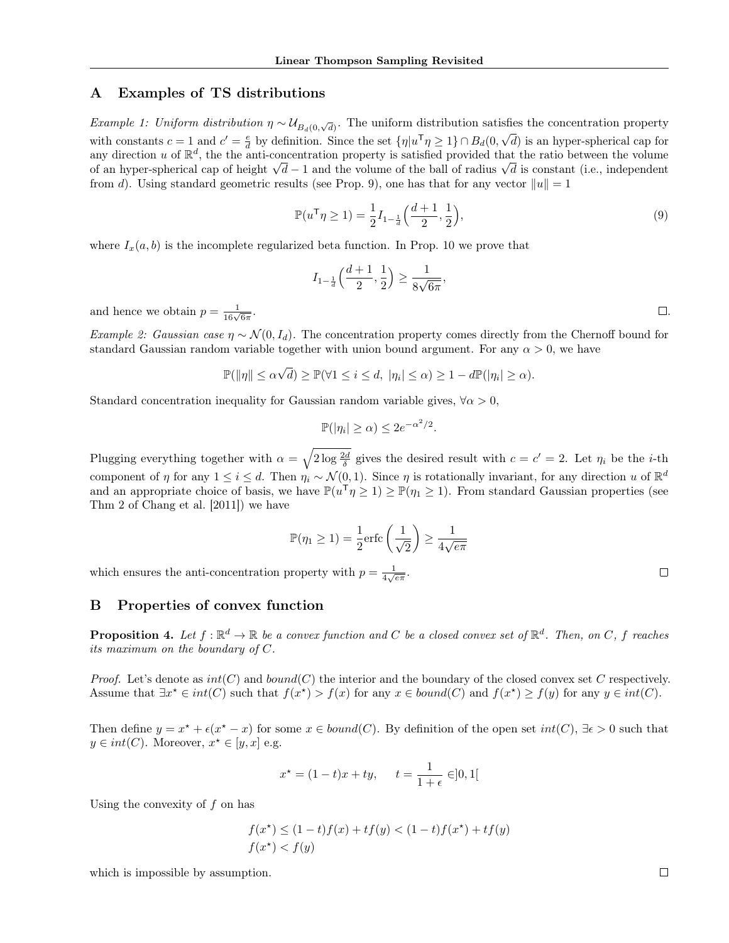# A Examples of TS distributions

Example 1: Uniform distribution  $\eta \sim U_{B_d(0,\sqrt{d})}$ . The uniform distribution satisfies the concentration property with constants  $c = 1$  and  $c' = \frac{e}{d}$  by definition. Since the set  $\{\eta | u^{\mathsf{T}}\eta \geq 1\} \cap B_d(0, \sqrt{d})$  is an hyper-spherical cap for any direction u of  $\mathbb{R}^d$ , the the anti-concentration property is satisfied provided that the ratio between the volume of an hyper-spherical cap of height  $\sqrt{d} - 1$  and the volume of the ball of radius  $\sqrt{d}$  is constant (i.e., independent from d). Using standard geometric results (see Prop. 9), one has that for any vector  $||u|| = 1$ 

$$
\mathbb{P}(u^{\mathsf{T}}\eta \ge 1) = \frac{1}{2}I_{1-\frac{1}{d}}\left(\frac{d+1}{2}, \frac{1}{2}\right),\tag{9}
$$

where  $I_x(a, b)$  is the incomplete regularized beta function. In Prop. 10 we prove that

$$
I_{1-\frac{1}{d}}\left(\frac{d+1}{2},\frac{1}{2}\right) \ge \frac{1}{8\sqrt{6\pi}},
$$

and hence we obtain  $p = \frac{1}{16\sqrt{6\pi}}$ 

Example 2: Gaussian case  $\eta \sim \mathcal{N}(0, I_d)$ . The concentration property comes directly from the Chernoff bound for standard Gaussian random variable together with union bound argument. For any  $\alpha > 0$ , we have

$$
\mathbb{P}(\|\eta\| \le \alpha\sqrt{d}) \ge \mathbb{P}(\forall 1 \le i \le d, |\eta_i| \le \alpha) \ge 1 - d\mathbb{P}(|\eta_i| \ge \alpha).
$$

Standard concentration inequality for Gaussian random variable gives,  $\forall \alpha > 0$ ,

$$
\mathbb{P}(|\eta_i| \ge \alpha) \le 2e^{-\alpha^2/2}.
$$

Plugging everything together with  $\alpha = \sqrt{2 \log \frac{2d}{\delta}}$  gives the desired result with  $c = c' = 2$ . Let  $\eta_i$  be the *i*-th component of  $\eta$  for any  $1 \leq i \leq d$ . Then  $\eta_i \sim \mathcal{N}(0, 1)$ . Since  $\eta$  is rotationally invariant, for any direction u of  $\mathbb{R}^d$ and an appropriate choice of basis, we have  $\mathbb{P}(u^{\mathsf{T}}\eta \geq 1) \geq \mathbb{P}(\eta_1 \geq 1)$ . From standard Gaussian properties (see Thm 2 of Chang et al. [2011]) we have

$$
\mathbb{P}(\eta_1 \ge 1) = \frac{1}{2} \text{erfc}\left(\frac{1}{\sqrt{2}}\right) \ge \frac{1}{4\sqrt{e\pi}}
$$

which ensures the anti-concentration property with  $p = \frac{1}{4\sqrt{e\pi}}$ .

#### B Properties of convex function

**Proposition 4.** Let  $f : \mathbb{R}^d \to \mathbb{R}$  be a convex function and C be a closed convex set of  $\mathbb{R}^d$ . Then, on C, f reaches its maximum on the boundary of  $C$ .

*Proof.* Let's denote as  $int(C)$  and  $bound(C)$  the interior and the boundary of the closed convex set C respectively. Assume that  $\exists x^* \in int(C)$  such that  $f(x^*) > f(x)$  for any  $x \in bound(C)$  and  $f(x^*) \ge f(y)$  for any  $y \in int(C)$ .

Then define  $y = x^* + \epsilon(x^* - x)$  for some  $x \in bound(C)$ . By definition of the open set  $int(C)$ ,  $\exists \epsilon > 0$  such that  $y \in int(C)$ . Moreover,  $x^* \in [y, x]$  e.g.

$$
x^* = (1 - t)x + ty
$$
,  $t = \frac{1}{1 + \epsilon} \in ]0, 1[$ 

Using the convexity of  $f$  on has

$$
f(x^*) \le (1-t)f(x) + tf(y) < (1-t)f(x^*) + tf(y)
$$
  

$$
f(x^*) < f(y)
$$

which is impossible by assumption.

 $\Box$ 

. The contract of the contract of the contract of the contract of  $\Box$  .  $\Box$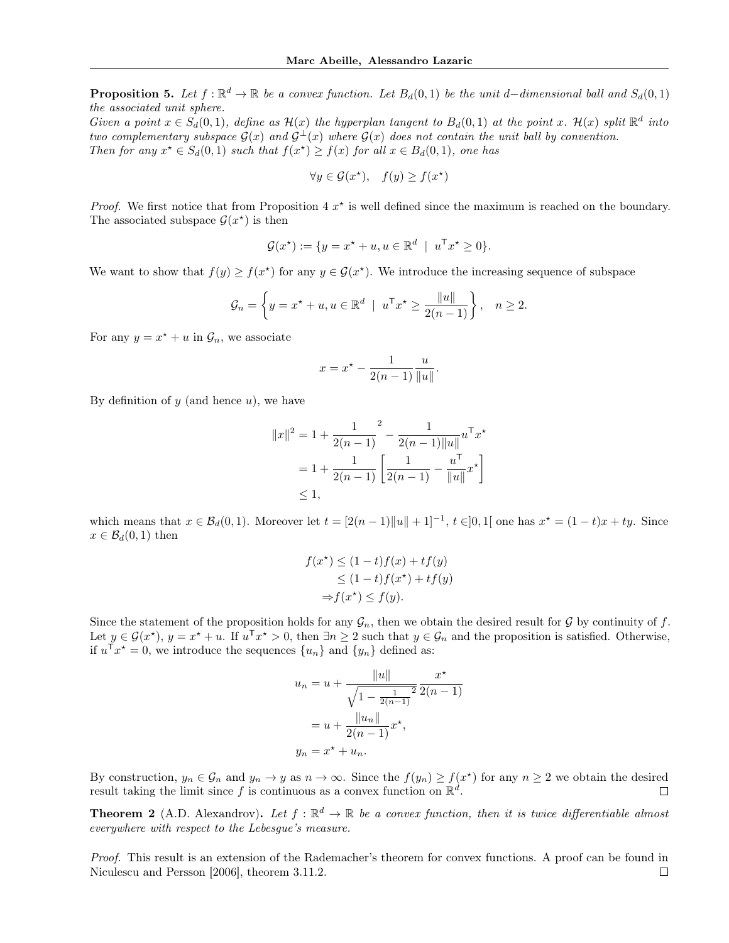**Proposition 5.** Let  $f : \mathbb{R}^d \to \mathbb{R}$  be a convex function. Let  $B_d(0,1)$  be the unit d–dimensional ball and  $S_d(0,1)$ the associated unit sphere.

Given a point  $x \in S_d(0,1)$ , define as  $\mathcal{H}(x)$  the hyperplan tangent to  $B_d(0,1)$  at the point x.  $\mathcal{H}(x)$  split  $\mathbb{R}^d$  into two complementary subspace  $G(x)$  and  $G^{\perp}(x)$  where  $G(x)$  does not contain the unit ball by convention. Then for any  $x^* \in S_d(0,1)$  such that  $f(x^*) \ge f(x)$  for all  $x \in B_d(0,1)$ , one has

$$
\forall y \in \mathcal{G}(x^{\star}), \quad f(y) \ge f(x^{\star})
$$

*Proof.* We first notice that from Proposition 4  $x^*$  is well defined since the maximum is reached on the boundary. The associated subspace  $\mathcal{G}(x^*)$  is then

$$
\mathcal{G}(x^*) := \{ y = x^* + u, u \in \mathbb{R}^d \mid u^{\mathsf{T}} x^* \ge 0 \}.
$$

We want to show that  $f(y) \ge f(x^*)$  for any  $y \in \mathcal{G}(x^*)$ . We introduce the increasing sequence of subspace

$$
\mathcal{G}_n = \left\{ y = x^\star + u, u \in \mathbb{R}^d \mid u^\mathsf{T} x^\star \ge \frac{\|u\|}{2(n-1)} \right\}, \quad n \ge 2.
$$

For any  $y = x^* + u$  in  $\mathcal{G}_n$ , we associate

$$
x = x^* - \frac{1}{2(n-1)} \frac{u}{\|u\|}.
$$

By definition of  $y$  (and hence  $u$ ), we have

$$
||x||^2 = 1 + \frac{1}{2(n-1)}^2 - \frac{1}{2(n-1)||u||} u^{T} x^*
$$
  
=  $1 + \frac{1}{2(n-1)} \left[ \frac{1}{2(n-1)} - \frac{u^{T}}{||u||} x^* \right]$   
\$\leq 1\$,

which means that  $x \in \mathcal{B}_d(0,1)$ . Moreover let  $t = [2(n-1)\|u\| + 1]^{-1}$ ,  $t \in ]0,1[$  one has  $x^* = (1-t)x + ty$ . Since  $x \in \mathcal{B}_d(0,1)$  then

$$
f(x^*) \le (1-t)f(x) + tf(y)
$$
  
\n
$$
\le (1-t)f(x^*) + tf(y)
$$
  
\n
$$
\Rightarrow f(x^*) \le f(y).
$$

Since the statement of the proposition holds for any  $\mathcal{G}_n$ , then we obtain the desired result for  $\mathcal G$  by continuity of f. Let  $y \in \mathcal{G}(x^*)$ ,  $y = x^* + u$ . If  $u^{\mathsf{T}} x^* > 0$ , then  $\exists n \geq 2$  such that  $y \in \mathcal{G}_n$  and the proposition is satisfied. Otherwise, if  $u^{\mathsf{T}} x^* = 0$ , we introduce the sequences  $\{u_n\}$  and  $\{y_n\}$  defined as:

$$
u_n = u + \frac{||u||}{\sqrt{1 - \frac{1}{2(n-1)}}^2} \frac{x^*}{2(n-1)}
$$

$$
= u + \frac{||u_n||}{2(n-1)} x^*,
$$

$$
y_n = x^* + u_n.
$$

By construction,  $y_n \in \mathcal{G}_n$  and  $y_n \to y$  as  $n \to \infty$ . Since the  $f(y_n) \ge f(x^*)$  for any  $n \ge 2$  we obtain the desired result taking the limit since f is continuous as a convex function on  $\mathbb{R}^d$ .

**Theorem 2** (A.D. Alexandrov). Let  $f : \mathbb{R}^d \to \mathbb{R}$  be a convex function, then it is twice differentiable almost everywhere with respect to the Lebesgue's measure.

Proof. This result is an extension of the Rademacher's theorem for convex functions. A proof can be found in Niculescu and Persson [2006], theorem 3.11.2. $\Box$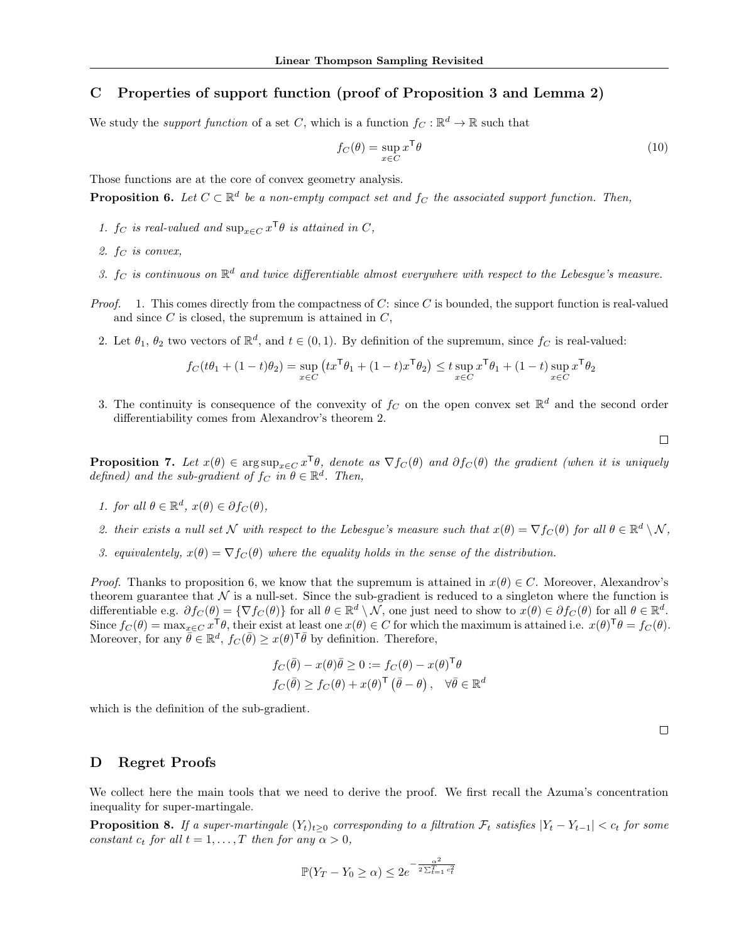# C Properties of support function (proof of Proposition 3 and Lemma 2)

We study the *support function* of a set C, which is a function  $f_C : \mathbb{R}^d \to \mathbb{R}$  such that

$$
f_C(\theta) = \sup_{x \in C} x^{\mathsf{T}} \theta \tag{10}
$$

Those functions are at the core of convex geometry analysis.

**Proposition 6.** Let  $C \subset \mathbb{R}^d$  be a non-empty compact set and  $f_C$  the associated support function. Then,

- 1.  $f_C$  is real-valued and  $\sup_{x \in C} x^{\mathsf{T}} \theta$  is attained in C,
- 2.  $f_C$  is convex,
- 3.  $f_C$  is continuous on  $\mathbb{R}^d$  and twice differentiable almost everywhere with respect to the Lebesgue's measure.
- *Proof.* 1. This comes directly from the compactness of C: since C is bounded, the support function is real-valued and since  $C$  is closed, the supremum is attained in  $C$ ,
	- 2. Let  $\theta_1$ ,  $\theta_2$  two vectors of  $\mathbb{R}^d$ , and  $t \in (0,1)$ . By definition of the supremum, since  $f_C$  is real-valued:

$$
f_C(t\theta_1+(1-t)\theta_2)=\sup_{x\in C}\left(tx^\mathsf{T}\theta_1+(1-t)x^\mathsf{T}\theta_2\right)\le t\sup_{x\in C}x^\mathsf{T}\theta_1+(1-t)\sup_{x\in C}x^\mathsf{T}\theta_2
$$

3. The continuity is consequence of the convexity of  $f_C$  on the open convex set  $\mathbb{R}^d$  and the second order differentiability comes from Alexandrov's theorem 2.

 $\Box$ 

**Proposition 7.** Let  $x(\theta) \in \arg \sup_{x \in C} x^{\mathsf{T}} \theta$ , denote as  $\nabla f_C(\theta)$  and  $\partial f_C(\theta)$  the gradient (when it is uniquely defined) and the sub-gradient of  $f_C$  in  $\theta \in \mathbb{R}^d$ . Then,

- 1. for all  $\theta \in \mathbb{R}^d$ ,  $x(\theta) \in \partial f_C(\theta)$ ,
- 2. their exists a null set N with respect to the Lebesgue's measure such that  $x(\theta) = \nabla f_C(\theta)$  for all  $\theta \in \mathbb{R}^d \setminus \mathcal{N}$ ,
- 3. equivalentely,  $x(\theta) = \nabla f_C(\theta)$  where the equality holds in the sense of the distribution.

*Proof.* Thanks to proposition 6, we know that the supremum is attained in  $x(\theta) \in C$ . Moreover, Alexandrov's theorem guarantee that  $\mathcal N$  is a null-set. Since the sub-gradient is reduced to a singleton where the function is differentiable e.g.  $\partial f_C(\theta) = \{ \nabla f_C(\theta) \}$  for all  $\theta \in \mathbb{R}^d \setminus \mathcal{N}$ , one just need to show to  $x(\theta) \in \partial f_C(\theta)$  for all  $\theta \in \mathbb{R}^d$ . Since  $f_C(\theta) = \max_{x \in C} x^\mathsf{T} \theta$ , their exist at least one  $x(\theta) \in C$  for which the maximum is attained i.e.  $x(\theta)^\mathsf{T} \theta = f_C(\theta)$ . Moreover, for any  $\bar{\theta} \in \mathbb{R}^d$ ,  $f_C(\bar{\theta}) \geq x(\theta)^{\mathsf{T}} \bar{\theta}$  by definition. Therefore,

$$
f_C(\bar{\theta}) - x(\theta)\bar{\theta} \ge 0 := f_C(\theta) - x(\theta)^{\mathsf{T}}\theta
$$
  

$$
f_C(\bar{\theta}) \ge f_C(\theta) + x(\theta)^{\mathsf{T}}(\bar{\theta} - \theta), \quad \forall \bar{\theta} \in \mathbb{R}^d
$$

which is the definition of the sub-gradient.

 $\Box$ 

#### D Regret Proofs

We collect here the main tools that we need to derive the proof. We first recall the Azuma's concentration inequality for super-martingale.

**Proposition 8.** If a super-martingale  $(Y_t)_{t\geq0}$  corresponding to a filtration  $\mathcal{F}_t$  satisfies  $|Y_t - Y_{t-1}| < c_t$  for some constant  $c_t$  for all  $t = 1, ..., T$  then for any  $\alpha > 0$ ,

$$
\mathbb{P}(Y_T - Y_0 \ge \alpha) \le 2e^{-\frac{\alpha^2}{2\sum_{t=1}^T c_t^2}}
$$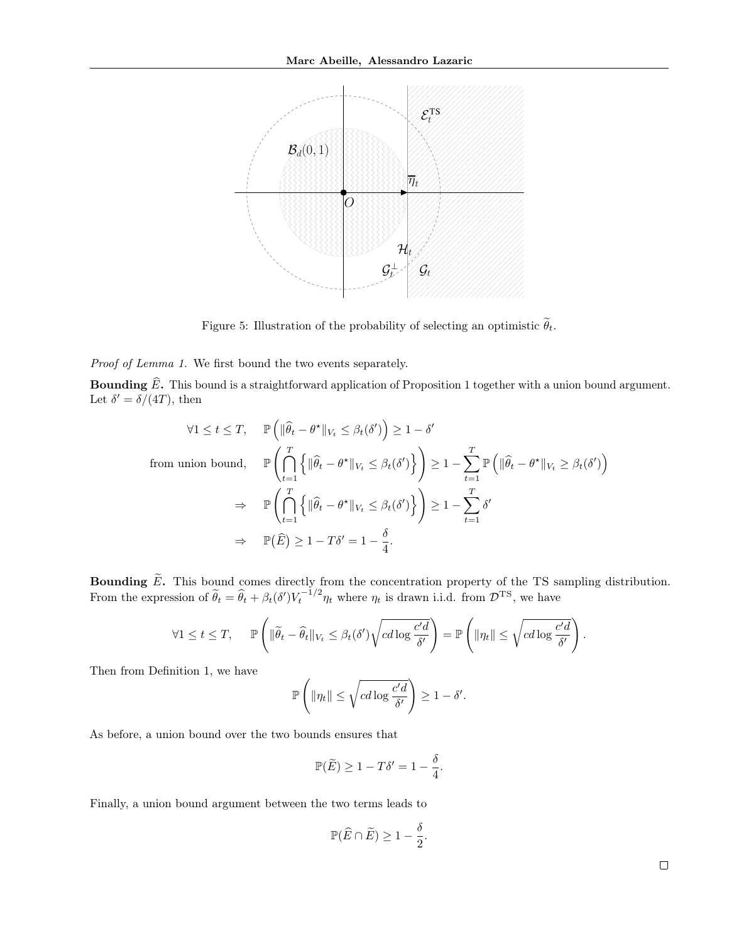

Figure 5: Illustration of the probability of selecting an optimistic  $\widetilde{\theta}_t$ .

Proof of Lemma 1. We first bound the two events separately.

**Bounding**  $\widehat{E}$ **.** This bound is a straightforward application of Proposition 1 together with a union bound argument. Let  $\delta' = \delta/(4T)$ , then

$$
\forall 1 \leq t \leq T, \quad \mathbb{P}\left(\|\widehat{\theta}_t - \theta^{\star}\|_{V_t} \leq \beta_t(\delta')\right) \geq 1 - \delta'
$$
  
from union bound, 
$$
\mathbb{P}\left(\bigcap_{t=1}^T \left\{\|\widehat{\theta}_t - \theta^{\star}\|_{V_t} \leq \beta_t(\delta')\right\}\right) \geq 1 - \sum_{t=1}^T \mathbb{P}\left(\|\widehat{\theta}_t - \theta^{\star}\|_{V_t} \geq \beta_t(\delta')\right)
$$

$$
\Rightarrow \quad \mathbb{P}\left(\bigcap_{t=1}^T \left\{\|\widehat{\theta}_t - \theta^{\star}\|_{V_t} \leq \beta_t(\delta')\right\}\right) \geq 1 - \sum_{t=1}^T \delta'
$$

$$
\Rightarrow \quad \mathbb{P}(\widehat{E}) \geq 1 - T\delta' = 1 - \frac{\delta}{4}.
$$

**Bounding**  $\widetilde{E}$ . This bound comes directly from the concentration property of the TS sampling distribution. From the expression of  $\tilde{\theta}_t = \hat{\theta}_t + \beta_t(\delta') V_t^{-1/2} \eta_t$  where  $\eta_t$  is drawn i.i.d. from  $\mathcal{D}^{TS}$ , we have

$$
\forall 1 \leq t \leq T, \quad \mathbb{P}\left(\|\widetilde{\theta}_t - \widehat{\theta}_t\|_{V_t} \leq \beta_t(\delta')\sqrt{cd\log \frac{c'd}{\delta'}}\right) = \mathbb{P}\left(\|\eta_t\| \leq \sqrt{cd\log \frac{c'd}{\delta'}}\right).
$$

Then from Definition 1, we have

$$
\mathbb{P}\left(\|\eta_t\| \leq \sqrt{cd\log \frac{c'd}{\delta'}}\right) \geq 1-\delta'.
$$

As before, a union bound over the two bounds ensures that

$$
\mathbb{P}(\widetilde{E}) \ge 1 - T\delta' = 1 - \frac{\delta}{4}.
$$

Finally, a union bound argument between the two terms leads to

$$
\mathbb{P}(\widehat{E} \cap \widetilde{E}) \ge 1 - \frac{\delta}{2}.
$$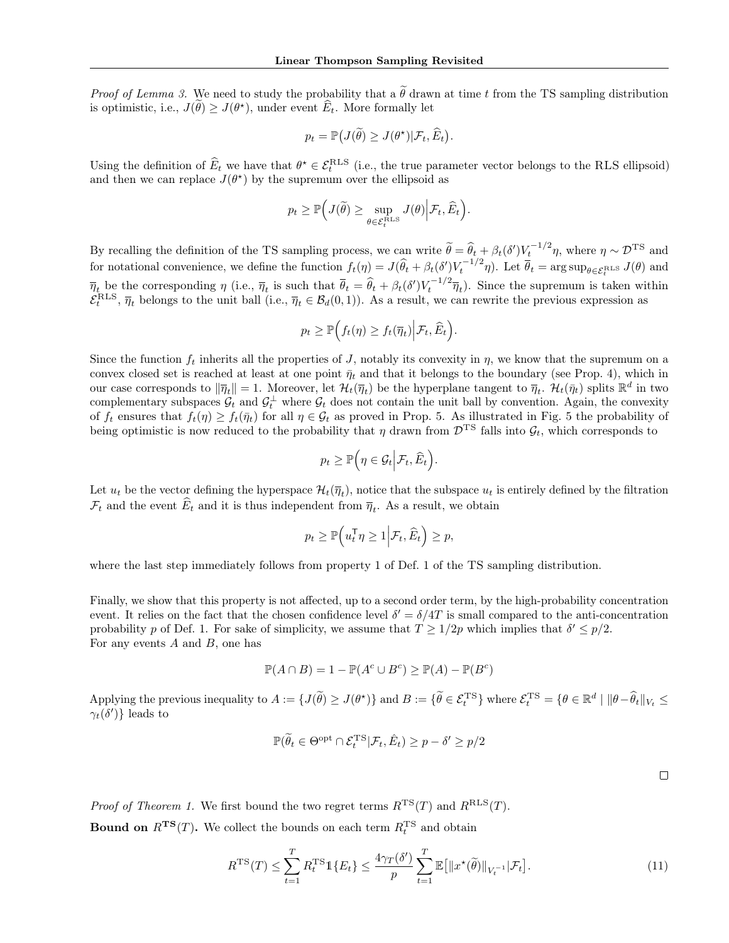*Proof of Lemma 3.* We need to study the probability that a  $\tilde{\theta}$  drawn at time t from the TS sampling distribution is optimistic, i.e.,  $J(\hat{\theta}) \ge J(\theta^*)$ , under event  $\hat{E}_t$ . More formally let

$$
p_t = \mathbb{P}\big(J(\widetilde{\theta}) \ge J(\theta^{\star})|\mathcal{F}_t, \widehat{E}_t\big).
$$

Using the definition of  $\widehat{E}_t$  we have that  $\theta^* \in \mathcal{E}_t^{\text{RLS}}$  (i.e., the true parameter vector belongs to the RLS ellipsoid) and then we can replace  $J(\theta^*)$  by the supremum over the ellipsoid as

$$
p_t \geq \mathbb{P}\Big(J(\widetilde{\theta}) \geq \sup_{\theta \in \mathcal{E}_t^{\text{RLS}}} J(\theta) \Big| \mathcal{F}_t, \widehat{E}_t\Big).
$$

By recalling the definition of the TS sampling process, we can write  $\tilde{\theta} = \hat{\theta}_t + \beta_t(\delta')V_t^{-1/2}\eta$ , where  $\eta \sim \mathcal{D}^{TS}$  and for notational convenience, we define the function  $f_t(\eta) = J(\hat{\theta}_t + \beta_t(\delta')V_t^{-1/2}\eta)$ . Let  $\overline{\theta}_t = \arg \sup_{\theta \in \mathcal{E}_t^{\text{RLS}}} J(\theta)$  and  $\overline{\eta}_t$  be the corresponding  $\eta$  (i.e.,  $\overline{\eta}_t$  is such that  $\overline{\theta}_t = \widehat{\theta}_t + \beta_t(\delta')V_t^{-1/2}\overline{\eta}_t$ ). Since the supremum is taken within  $\mathcal{E}_t^{\text{RLS}}$ ,  $\overline{\eta}_t$  belongs to the unit ball (i.e.,  $\overline{\eta}_t \in \mathcal{B}_d(0,1)$ ). As a result, we can rewrite the previous expression as

$$
p_t \geq \mathbb{P}\Big(f_t(\eta) \geq f_t(\overline{\eta}_t)\Big| \mathcal{F}_t, \widehat{E}_t\Big).
$$

Since the function  $f_t$  inherits all the properties of J, notably its convexity in  $\eta$ , we know that the supremum on a convex closed set is reached at least at one point  $\bar{\eta}_t$  and that it belongs to the boundary (see Prop. 4), which in our case corresponds to  $\|\overline{\eta}_t\| = 1$ . Moreover, let  $\mathcal{H}_t(\overline{\eta}_t)$  be the hyperplane tangent to  $\overline{\eta}_t$ .  $\mathcal{H}_t(\overline{\eta}_t)$  splits  $\mathbb{R}^d$  in two complementary subspaces  $\mathcal{G}_t$  and  $\mathcal{G}_t^{\perp}$  where  $\mathcal{G}_t$  does not contain the unit ball by convention. Again, the convexity of  $f_t$  ensures that  $f_t(\eta) \ge f_t(\bar{\eta}_t)$  for all  $\eta \in \mathcal{G}_t$  as proved in Prop. 5. As illustrated in Fig. 5 the probability of being optimistic is now reduced to the probability that  $\eta$  drawn from  $\mathcal{D}^{TS}$  falls into  $\mathcal{G}_t$ , which corresponds to

$$
p_t \geq \mathbb{P}\Big(\eta \in \mathcal{G}_t \Big| \mathcal{F}_t, \widehat{E}_t\Big).
$$

Let  $u_t$  be the vector defining the hyperspace  $\mathcal{H}_t(\overline{\eta}_t)$ , notice that the subspace  $u_t$  is entirely defined by the filtration  $\mathcal{F}_t$  and the event  $E_t$  and it is thus independent from  $\overline{\eta}_t$ . As a result, we obtain

$$
p_t \ge \mathbb{P}\Big(u_t^\mathsf{T} \eta \ge 1 \Big| \mathcal{F}_t, \widehat{E}_t\Big) \ge p,
$$

where the last step immediately follows from property 1 of Def. 1 of the TS sampling distribution.

Finally, we show that this property is not affected, up to a second order term, by the high-probability concentration event. It relies on the fact that the chosen confidence level  $\delta' = \delta/4T$  is small compared to the anti-concentration probability p of Def. 1. For sake of simplicity, we assume that  $T \geq 1/2p$  which implies that  $\delta' \leq p/2$ . For any events A and B, one has

$$
\mathbb{P}(A \cap B) = 1 - \mathbb{P}(A^c \cup B^c) \ge \mathbb{P}(A) - \mathbb{P}(B^c)
$$

Applying the previous inequality to  $A := \{J(\widetilde{\theta}) \geq J(\theta^{\star})\}$  and  $B := \{\widetilde{\theta} \in \mathcal{E}_t^{\text{TS}}\}$  where  $\mathcal{E}_t^{\text{TS}} = \{\theta \in \mathbb{R}^d \mid \|\theta - \widehat{\theta}_t\|_{V_t} \leq \theta_t\}$  $\gamma_t(\delta')\}$  leads to

$$
\mathbb{P}(\widetilde{\theta}_t \in \Theta^{\mathrm{opt}} \cap \mathcal{E}_t^{\mathrm{TS}} | \mathcal{F}_t, \hat{E}_t) \ge p - \delta' \ge p/2
$$

*Proof of Theorem 1.* We first bound the two regret terms  $R^{TS}(T)$  and  $R^{RLS}(T)$ . **Bound on**  $R^{TS}(T)$ . We collect the bounds on each term  $R_t^{TS}$  and obtain

$$
R^{TS}(T) \leq \sum_{t=1}^{T} R_t^{TS} \mathbb{1}\{E_t\} \leq \frac{4\gamma_T(\delta')}{p} \sum_{t=1}^{T} \mathbb{E}\big[\|x^\star(\widetilde{\theta})\|_{V_t^{-1}}|\mathcal{F}_t\big].\tag{11}
$$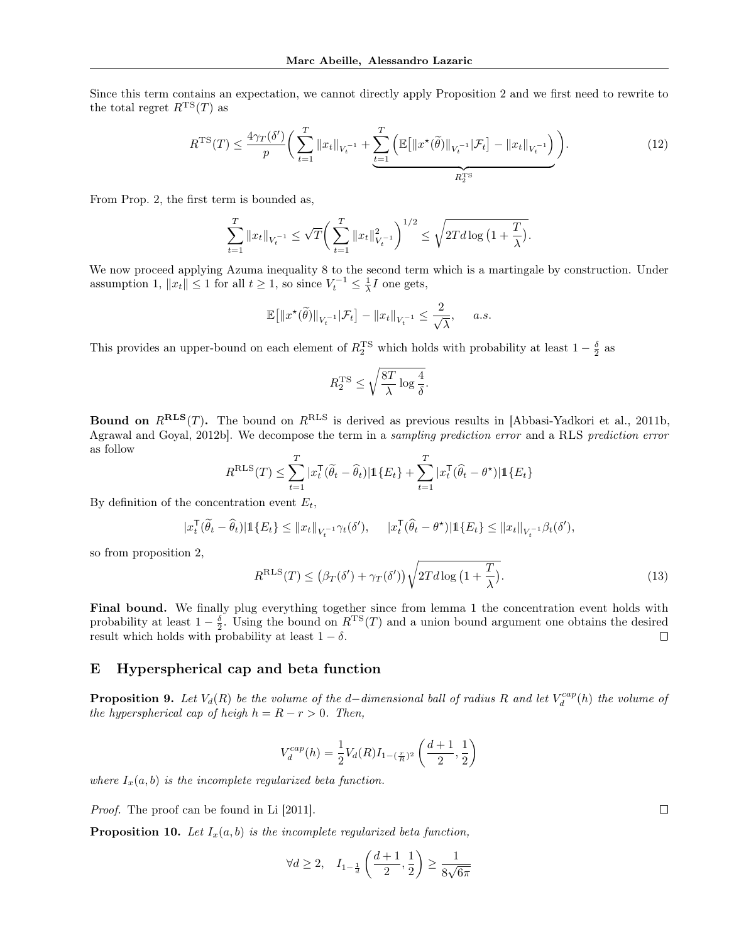Since this term contains an expectation, we cannot directly apply Proposition 2 and we first need to rewrite to the total regret  $R^{TS}(T)$  as

$$
R^{TS}(T) \le \frac{4\gamma_T(\delta')}{p} \bigg( \sum_{t=1}^T \|x_t\|_{V_t^{-1}} + \underbrace{\sum_{t=1}^T \left( \mathbb{E} \big[ \|x^\star(\tilde{\theta})\|_{V_t^{-1}} | \mathcal{F}_t \big] - \|x_t\|_{V_t^{-1}} \right)}_{R_2^{TS}} \bigg). \tag{12}
$$

From Prop. 2, the first term is bounded as,

$$
\sum_{t=1}^T \|x_t\|_{V_t^{-1}} \le \sqrt{T} \bigg( \sum_{t=1}^T \|x_t\|_{V_t^{-1}}^2 \bigg)^{1/2} \le \sqrt{2T d \log \big( 1 + \frac{T}{\lambda} \big)}.
$$

We now proceed applying Azuma inequality 8 to the second term which is a martingale by construction. Under assumption 1,  $||x_t|| \le 1$  for all  $t \ge 1$ , so since  $V_t^{-1} \le \frac{1}{\lambda}I$  one gets,

$$
\mathbb{E}\big[\|x^{\star}(\widetilde{\theta})\|_{V_t^{-1}}|\mathcal{F}_t\big]-\|x_t\|_{V_t^{-1}}\leq \frac{2}{\sqrt{\lambda}},\quad a.s.
$$

This provides an upper-bound on each element of  $R_2^{\text{TS}}$  which holds with probability at least  $1-\frac{\delta}{2}$  as

$$
R^{\rm TS}_2 \leq \sqrt{\frac{8T}{\lambda} \log \frac{4}{\delta}}.
$$

**Bound on**  $R^{RLS}(T)$ . The bound on  $R^{RLS}$  is derived as previous results in [Abbasi-Yadkori et al., 2011b, Agrawal and Goyal, 2012b]. We decompose the term in a sampling prediction error and a RLS prediction error as follow

$$
R^{\text{RLS}}(T) \leq \sum_{t=1}^{T} |x_t^{\mathsf{T}}(\widetilde{\theta}_t - \widehat{\theta}_t)| \mathbb{1}\{E_t\} + \sum_{t=1}^{T} |x_t^{\mathsf{T}}(\widehat{\theta}_t - \theta^*)| \mathbb{1}\{E_t\}
$$

By definition of the concentration event  $E_t$ ,

$$
|x_t^\mathsf{T}(\widetilde{\theta}_t - \widehat{\theta}_t)| \mathbb{1}\{E_t\} \leq ||x_t||_{V_t^{-1}} \gamma_t(\delta'), \quad |x_t^\mathsf{T}(\widehat{\theta}_t - \theta^\star)| \mathbb{1}\{E_t\} \leq ||x_t||_{V_t^{-1}} \beta_t(\delta'),
$$

so from proposition 2,

$$
RRLS(T) \le (\beta_T(\delta') + \gamma_T(\delta'))\sqrt{2Td \log\left(1 + \frac{T}{\lambda}\right)}.
$$
\n(13)

Final bound. We finally plug everything together since from lemma 1 the concentration event holds with probability at least  $1 - \frac{\delta}{2}$ . Using the bound on  $R^{TS}(T)$  and a union bound argument one obtains the desired result which holds with probability at least  $1 - \delta$ .  $\Box$ 

#### E Hyperspherical cap and beta function

**Proposition 9.** Let  $V_d(R)$  be the volume of the d–dimensional ball of radius R and let  $V_d^{cap}(h)$  the volume of the hyperspherical cap of heigh  $h = R - r > 0$ . Then,

$$
V_d^{cap}(h) = \frac{1}{2} V_d(R) I_{1-(\frac{r}{R})^2} \left( \frac{d+1}{2}, \frac{1}{2} \right)
$$

where  $I_x(a, b)$  is the incomplete regularized beta function.

Proof. The proof can be found in Li [2011].

**Proposition 10.** Let  $I_x(a, b)$  is the incomplete regularized beta function,

$$
\forall d \geq 2, \quad I_{1-\frac{1}{d}}\left(\frac{d+1}{2},\frac{1}{2}\right) \geq \frac{1}{8\sqrt{6\pi}}
$$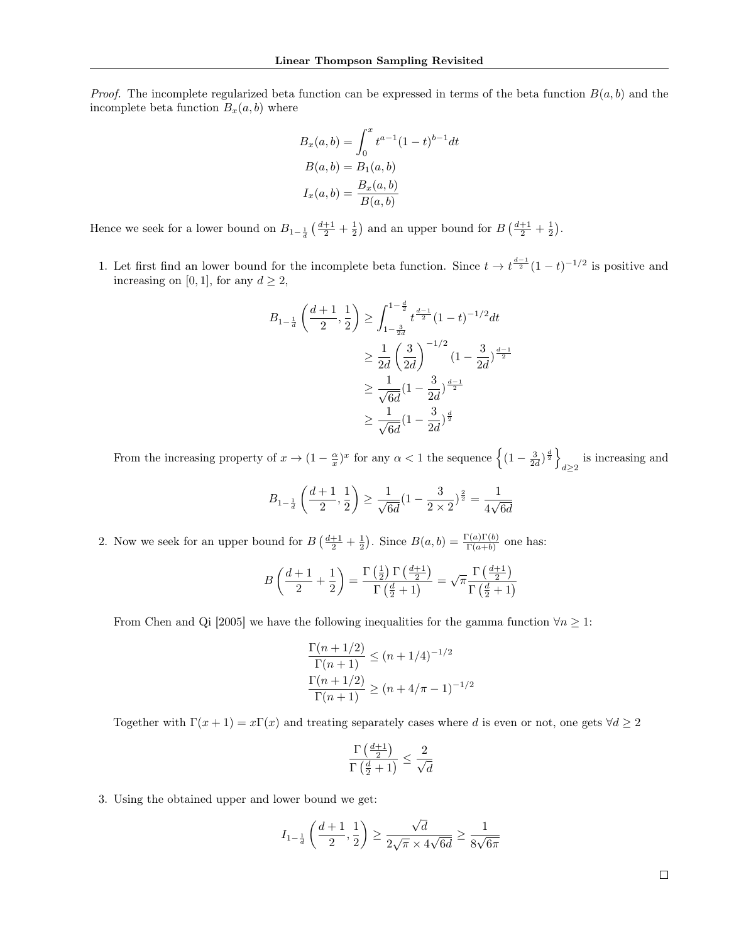*Proof.* The incomplete regularized beta function can be expressed in terms of the beta function  $B(a, b)$  and the incomplete beta function  $B_x(a, b)$  where

$$
B_x(a,b) = \int_0^x t^{a-1} (1-t)^{b-1} dt
$$
  
\n
$$
B(a,b) = B_1(a,b)
$$
  
\n
$$
I_x(a,b) = \frac{B_x(a,b)}{B(a,b)}
$$

Hence we seek for a lower bound on  $B_{1-\frac{1}{d}}\left(\frac{d+1}{2}+\frac{1}{2}\right)$  and an upper bound for  $B\left(\frac{d+1}{2}+\frac{1}{2}\right)$ .

1. Let first find an lower bound for the incomplete beta function. Since  $t \to t^{\frac{d-1}{2}}(1-t)^{-1/2}$  is positive and increasing on [0, 1], for any  $d \geq 2$ ,

$$
B_{1-\frac{1}{d}}\left(\frac{d+1}{2},\frac{1}{2}\right) \ge \int_{1-\frac{3}{2d}}^{1-\frac{d}{2}} t^{\frac{d-1}{2}} (1-t)^{-1/2} dt
$$
  

$$
\ge \frac{1}{2d} \left(\frac{3}{2d}\right)^{-1/2} (1-\frac{3}{2d})^{\frac{d-1}{2}}
$$
  

$$
\ge \frac{1}{\sqrt{6d}} (1-\frac{3}{2d})^{\frac{d-1}{2}}
$$
  

$$
\ge \frac{1}{\sqrt{6d}} (1-\frac{3}{2d})^{\frac{d}{2}}
$$

From the increasing property of  $x \to (1 - \frac{\alpha}{x})^x$  for any  $\alpha < 1$  the sequence  $\left\{ (1 - \frac{3}{2d})^{\frac{d}{2}} \right\}$ is increasing and  $d\geq 2$ 

$$
B_{1-\frac{1}{d}}\left(\frac{d+1}{2},\frac{1}{2}\right)\geq \frac{1}{\sqrt{6d}}(1-\frac{3}{2\times 2})^{\frac{2}{2}}=\frac{1}{4\sqrt{6d}}
$$

2. Now we seek for an upper bound for  $B\left(\frac{d+1}{2}+\frac{1}{2}\right)$ . Since  $B(a,b)=\frac{\Gamma(a)\Gamma(b)}{\Gamma(a+b)}$  one has:

$$
B\left(\frac{d+1}{2} + \frac{1}{2}\right) = \frac{\Gamma\left(\frac{1}{2}\right)\Gamma\left(\frac{d+1}{2}\right)}{\Gamma\left(\frac{d}{2} + 1\right)} = \sqrt{\pi} \frac{\Gamma\left(\frac{d+1}{2}\right)}{\Gamma\left(\frac{d}{2} + 1\right)}
$$

From Chen and Qi [2005] we have the following inequalities for the gamma function  $\forall n \geq 1$ :

$$
\frac{\Gamma(n+1/2)}{\Gamma(n+1)} \le (n+1/4)^{-1/2}
$$

$$
\frac{\Gamma(n+1/2)}{\Gamma(n+1)} \ge (n+4/\pi-1)^{-1/2}
$$

Together with  $\Gamma(x+1) = x\Gamma(x)$  and treating separately cases where d is even or not, one gets  $\forall d \geq 2$ 

$$
\frac{\Gamma\left(\frac{d+1}{2}\right)}{\Gamma\left(\frac{d}{2}+1\right)}\leq \frac{2}{\sqrt{d}}
$$

3. Using the obtained upper and lower bound we get:

$$
I_{1-\frac{1}{d}}\left(\frac{d+1}{2},\frac{1}{2}\right)\geq \frac{\sqrt{d}}{2\sqrt{\pi}\times 4\sqrt{6d}}\geq \frac{1}{8\sqrt{6\pi}}
$$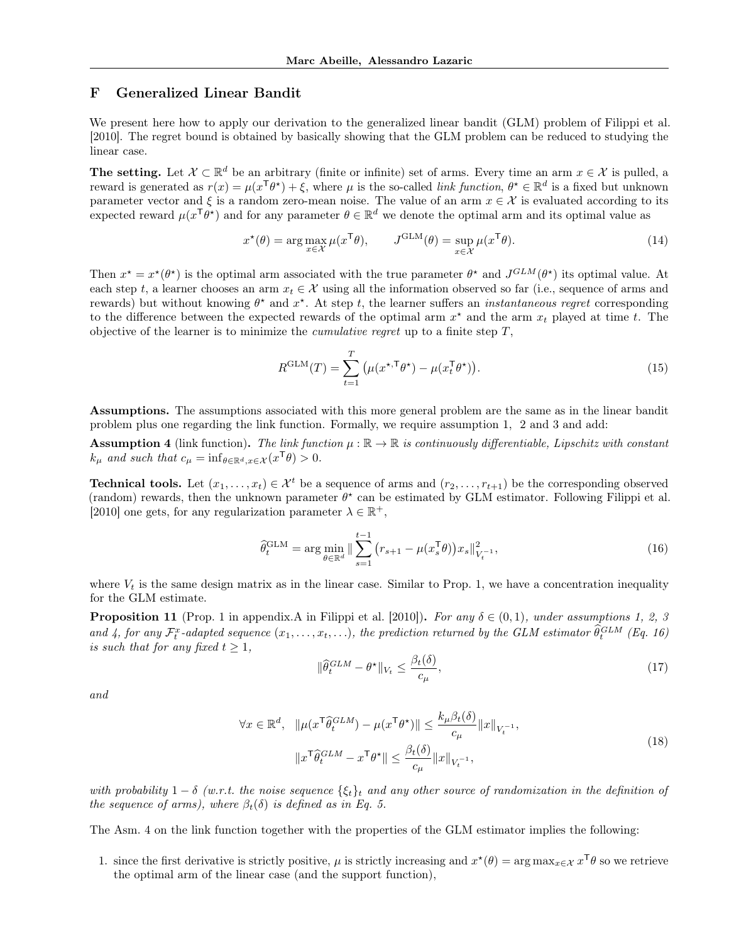# F Generalized Linear Bandit

We present here how to apply our derivation to the generalized linear bandit (GLM) problem of Filippi et al. [2010]. The regret bound is obtained by basically showing that the GLM problem can be reduced to studying the linear case.

The setting. Let  $\mathcal{X} \subset \mathbb{R}^d$  be an arbitrary (finite or infinite) set of arms. Every time an arm  $x \in \mathcal{X}$  is pulled, a reward is generated as  $r(x) = \mu(x^{\mathsf{T}}\theta^*) + \xi$ , where  $\mu$  is the so-called *link function*,  $\theta^* \in \mathbb{R}^d$  is a fixed but unknown parameter vector and  $\xi$  is a random zero-mean noise. The value of an arm  $x \in \mathcal{X}$  is evaluated according to its expected reward  $\mu(x^T\theta^*)$  and for any parameter  $\theta \in \mathbb{R}^d$  we denote the optimal arm and its optimal value as

$$
x^{\star}(\theta) = \arg\max_{x \in \mathcal{X}} \mu(x^{\mathsf{T}}\theta), \qquad J^{\text{GLM}}(\theta) = \sup_{x \in \mathcal{X}} \mu(x^{\mathsf{T}}\theta). \tag{14}
$$

Then  $x^* = x^*(\theta^*)$  is the optimal arm associated with the true parameter  $\theta^*$  and  $J^{GLM}(\theta^*)$  its optimal value. At each step t, a learner chooses an arm  $x_t \in \mathcal{X}$  using all the information observed so far (i.e., sequence of arms and rewards) but without knowing  $\theta^*$  and  $x^*$ . At step t, the learner suffers an *instantaneous regret* corresponding to the difference between the expected rewards of the optimal arm  $x^*$  and the arm  $x_t$  played at time t. The objective of the learner is to minimize the *cumulative regret* up to a finite step  $T$ ,

$$
R^{\text{GLM}}(T) = \sum_{t=1}^{T} \left( \mu(x^{\star, \mathsf{T}} \theta^{\star}) - \mu(x_t^{\mathsf{T}} \theta^{\star}) \right). \tag{15}
$$

Assumptions. The assumptions associated with this more general problem are the same as in the linear bandit problem plus one regarding the link function. Formally, we require assumption 1, 2 and 3 and add:

**Assumption 4** (link function). The link function  $\mu : \mathbb{R} \to \mathbb{R}$  is continuously differentiable, Lipschitz with constant  $k_{\mu}$  and such that  $c_{\mu} = \inf_{\theta \in \mathbb{R}^d, x \in \mathcal{X}} (x^{\mathsf{T}} \theta) > 0.$ 

**Technical tools.** Let  $(x_1, \ldots, x_t) \in \mathcal{X}^t$  be a sequence of arms and  $(r_2, \ldots, r_{t+1})$  be the corresponding observed (random) rewards, then the unknown parameter  $\theta^*$  can be estimated by GLM estimator. Following Filippi et al. [2010] one gets, for any regularization parameter  $\lambda \in \mathbb{R}^+$ ,

$$
\hat{\theta}_t^{\text{GLM}} = \arg \min_{\theta \in \mathbb{R}^d} \|\sum_{s=1}^{t-1} (r_{s+1} - \mu(x_s^{\mathsf{T}} \theta)) x_s\|_{V_t^{-1}}^2,\tag{16}
$$

where  $V_t$  is the same design matrix as in the linear case. Similar to Prop. 1, we have a concentration inequality for the GLM estimate.

**Proposition 11** (Prop. 1 in appendix.A in Filippi et al. [2010]). For any  $\delta \in (0,1)$ , under assumptions 1, 2, 3 and 4, for any  $\mathcal{F}_t^x$ -adapted sequence  $(x_1,\ldots,x_t,\ldots)$ , the prediction returned by the GLM estimator  $\widehat{\theta}_t^{GLM}$  (Eq. 16) is such that for any fixed  $t \geq 1$ ,

$$
\|\widehat{\theta}_t^{GLM} - \theta^\star\|_{V_t} \le \frac{\beta_t(\delta)}{c_\mu},\tag{17}
$$

and

$$
\forall x \in \mathbb{R}^d, \quad \|\mu(x^{\mathsf{T}} \hat{\theta}_t^{GLM}) - \mu(x^{\mathsf{T}} \theta^{\star})\| \le \frac{k_{\mu} \beta_t(\delta)}{c_{\mu}} \|x\|_{V_t^{-1}},
$$
\n
$$
\|x^{\mathsf{T}} \hat{\theta}_t^{GLM} - x^{\mathsf{T}} \theta^{\star}\| \le \frac{\beta_t(\delta)}{c_{\mu}} \|x\|_{V_t^{-1}},
$$
\n
$$
(18)
$$

with probability  $1 - \delta$  (w.r.t. the noise sequence  $\{\xi_t\}_t$  and any other source of randomization in the definition of the sequence of arms), where  $\beta_t(\delta)$  is defined as in Eq. 5.

The Asm. 4 on the link function together with the properties of the GLM estimator implies the following:

1. since the first derivative is strictly positive,  $\mu$  is strictly increasing and  $x^*(\theta) = \arg \max_{x \in \mathcal{X}} x^{\mathsf{T}} \theta$  so we retrieve the optimal arm of the linear case (and the support function),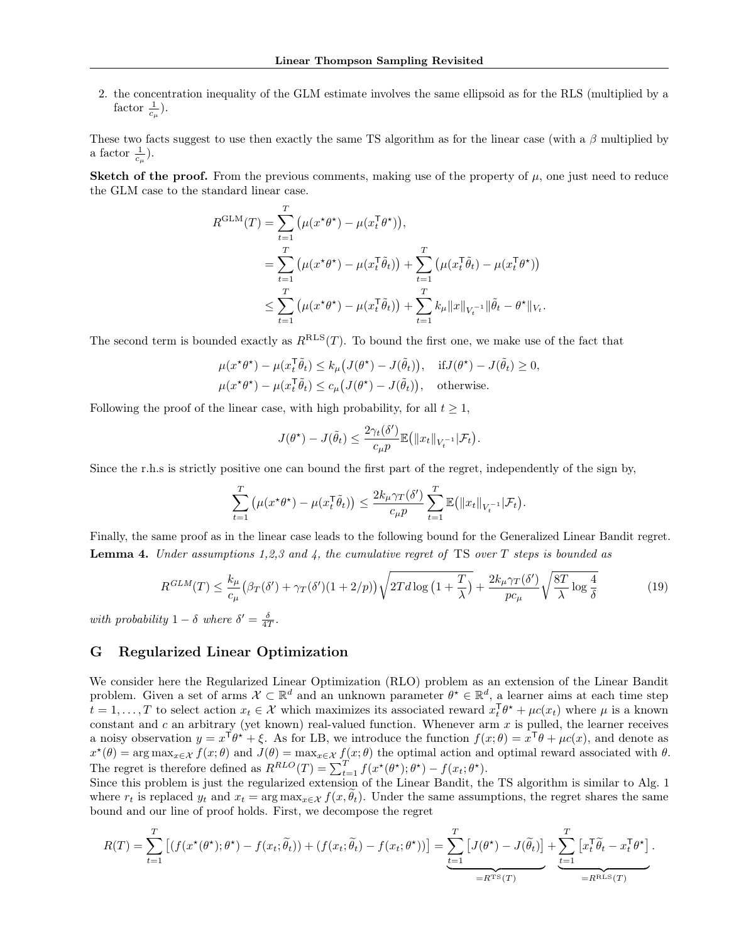2. the concentration inequality of the GLM estimate involves the same ellipsoid as for the RLS (multiplied by a factor  $\frac{1}{c_{\mu}}$ ).

These two facts suggest to use then exactly the same TS algorithm as for the linear case (with a  $\beta$  multiplied by a factor  $\frac{1}{c_{\mu}}$ ).

Sketch of the proof. From the previous comments, making use of the property of  $\mu$ , one just need to reduce the GLM case to the standard linear case.

$$
R^{\text{GLM}}(T) = \sum_{t=1}^{T} (\mu(x^{\star}\theta^{\star}) - \mu(x_t^{\top}\theta^{\star})),
$$
  
\n
$$
= \sum_{t=1}^{T} (\mu(x^{\star}\theta^{\star}) - \mu(x_t^{\top}\tilde{\theta}_t)) + \sum_{t=1}^{T} (\mu(x_t^{\top}\tilde{\theta}_t) - \mu(x_t^{\top}\theta^{\star}))
$$
  
\n
$$
\leq \sum_{t=1}^{T} (\mu(x^{\star}\theta^{\star}) - \mu(x_t^{\top}\tilde{\theta}_t)) + \sum_{t=1}^{T} k_{\mu} ||x||_{V_t^{-1}} ||\tilde{\theta}_t - \theta^{\star}||_{V_t}.
$$

The second term is bounded exactly as  $R^{RLS}(T)$ . To bound the first one, we make use of the fact that

$$
\mu(x^{\star}\theta^{\star}) - \mu(x_t^{\top}\tilde{\theta}_t) \le k_{\mu}(J(\theta^{\star}) - J(\tilde{\theta}_t)), \quad \text{if } J(\theta^{\star}) - J(\tilde{\theta}_t) \ge 0,
$$
  

$$
\mu(x^{\star}\theta^{\star}) - \mu(x_t^{\top}\tilde{\theta}_t) \le c_{\mu}(J(\theta^{\star}) - J(\tilde{\theta}_t)), \quad \text{otherwise.}
$$

Following the proof of the linear case, with high probability, for all  $t \geq 1$ ,

$$
J(\theta^\star) - J(\tilde{\theta}_t) \leq \frac{2\gamma_t(\delta')}{c_\mu p} \mathbb{E} \big( \|x_t\|_{V_t^{-1}} | \mathcal{F}_t \big).
$$

Since the r.h.s is strictly positive one can bound the first part of the regret, independently of the sign by,

$$
\sum_{t=1}^T \left( \mu(x^{\star} \theta^{\star}) - \mu(x_t^{\sf T} \tilde{\theta}_t) \right) \le \frac{2k_{\mu} \gamma_T(\delta')}{c_{\mu} p} \sum_{t=1}^T \mathbb{E} \left( \|x_t\|_{V_t^{-1}} | \mathcal{F}_t \right).
$$

Finally, the same proof as in the linear case leads to the following bound for the Generalized Linear Bandit regret. **Lemma 4.** Under assumptions 1,2,3 and 4, the cumulative regret of TS over T steps is bounded as

$$
R^{GLM}(T) \le \frac{k_{\mu}}{c_{\mu}} \left(\beta_{T}(\delta') + \gamma_{T}(\delta')\left(1 + 2/p\right)\right) \sqrt{2T d \log\left(1 + \frac{T}{\lambda}\right)} + \frac{2k_{\mu}\gamma_{T}(\delta')}{pc_{\mu}} \sqrt{\frac{8T}{\lambda} \log\frac{4}{\delta}}
$$
(19)

with probability  $1 - \delta$  where  $\delta' = \frac{\delta}{4T}$ .

#### G Regularized Linear Optimization

We consider here the Regularized Linear Optimization (RLO) problem as an extension of the Linear Bandit problem. Given a set of arms  $\mathcal{X} \subset \mathbb{R}^d$  and an unknown parameter  $\theta^* \in \mathbb{R}^d$ , a learner aims at each time step  $t = 1, \ldots, T$  to select action  $x_t \in \mathcal{X}$  which maximizes its associated reward  $x_t^{\mathsf{T}} \theta^* + \mu c(x_t)$  where  $\mu$  is a known constant and c an arbitrary (yet known) real-valued function. Whenever arm  $x$  is pulled, the learner receives a noisy observation  $y = x^{\mathsf{T}} \theta^* + \xi$ . As for LB, we introduce the function  $f(x; \theta) = x^{\mathsf{T}} \theta + \mu c(x)$ , and denote as  $x^*(\theta) = \arg \max_{x \in \mathcal{X}} f(x; \theta)$  and  $J(\theta) = \max_{x \in \mathcal{X}} f(x; \theta)$  the optimal action and optimal reward associated with  $\theta$ . The regret is therefore defined as  $R^{RLO}(T) = \sum_{t=1}^{T} f(x^{\star}(\theta^{\star}); \theta^{\star}) - f(x_t; \theta^{\star}).$ 

Since this problem is just the regularized extension of the Linear Bandit, the TS algorithm is similar to Alg. 1 where  $r_t$  is replaced  $y_t$  and  $x_t = \arg \max_{x \in \mathcal{X}} f(x, \theta_t)$ . Under the same assumptions, the regret shares the same bound and our line of proof holds. First, we decompose the regret

$$
R(T) = \sum_{t=1}^{T} \left[ \left( f(x^{\star}(\theta^{\star});\theta^{\star}) - f(x_t;\tilde{\theta}_t) \right) + \left( f(x_t;\tilde{\theta}_t) - f(x_t;\theta^{\star}) \right) \right] = \underbrace{\sum_{t=1}^{T} \left[ J(\theta^{\star}) - J(\tilde{\theta}_t) \right]}_{=R^{TS}(T)} + \underbrace{\sum_{t=1}^{T} \left[ x_t^{\mathsf{T}} \tilde{\theta}_t - x_t^{\mathsf{T}} \theta^{\star} \right]}_{=R^{RLS}(T)}.
$$